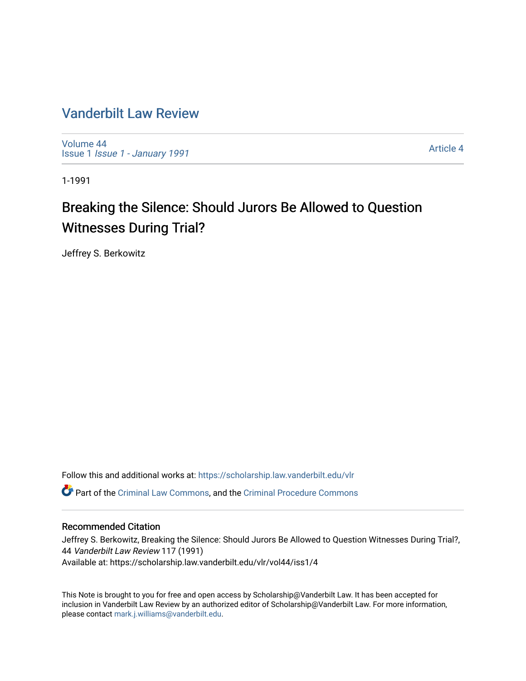### [Vanderbilt Law Review](https://scholarship.law.vanderbilt.edu/vlr)

[Volume 44](https://scholarship.law.vanderbilt.edu/vlr/vol44) Issue 1 [Issue 1 - January 1991](https://scholarship.law.vanderbilt.edu/vlr/vol44/iss1)

[Article 4](https://scholarship.law.vanderbilt.edu/vlr/vol44/iss1/4) 

1-1991

## Breaking the Silence: Should Jurors Be Allowed to Question Witnesses During Trial?

Jeffrey S. Berkowitz

Follow this and additional works at: [https://scholarship.law.vanderbilt.edu/vlr](https://scholarship.law.vanderbilt.edu/vlr?utm_source=scholarship.law.vanderbilt.edu%2Fvlr%2Fvol44%2Fiss1%2F4&utm_medium=PDF&utm_campaign=PDFCoverPages) Part of the [Criminal Law Commons,](http://network.bepress.com/hgg/discipline/912?utm_source=scholarship.law.vanderbilt.edu%2Fvlr%2Fvol44%2Fiss1%2F4&utm_medium=PDF&utm_campaign=PDFCoverPages) and the [Criminal Procedure Commons](http://network.bepress.com/hgg/discipline/1073?utm_source=scholarship.law.vanderbilt.edu%2Fvlr%2Fvol44%2Fiss1%2F4&utm_medium=PDF&utm_campaign=PDFCoverPages)

#### Recommended Citation

Jeffrey S. Berkowitz, Breaking the Silence: Should Jurors Be Allowed to Question Witnesses During Trial?, 44 Vanderbilt Law Review 117 (1991) Available at: https://scholarship.law.vanderbilt.edu/vlr/vol44/iss1/4

This Note is brought to you for free and open access by Scholarship@Vanderbilt Law. It has been accepted for inclusion in Vanderbilt Law Review by an authorized editor of Scholarship@Vanderbilt Law. For more information, please contact [mark.j.williams@vanderbilt.edu.](mailto:mark.j.williams@vanderbilt.edu)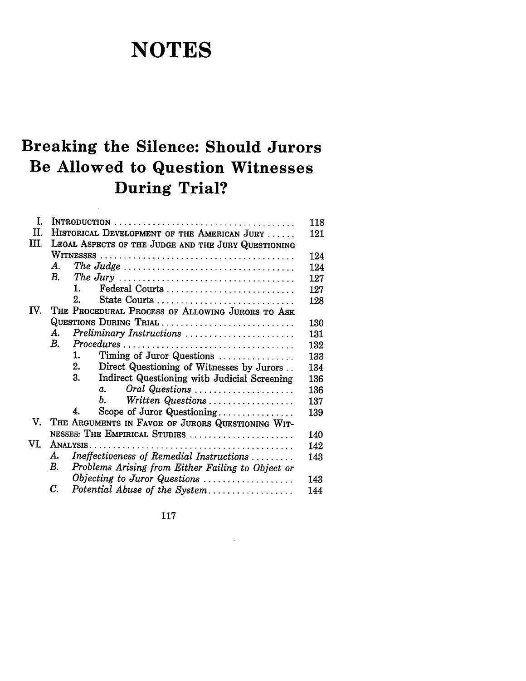# **NOTES**

## **Breaking the Silence: Should Jurors Be Allowed to Question Witnesses During Trial?**

 $\ddot{\phantom{a}}$ 

| T.   | 118                                                     |     |  |
|------|---------------------------------------------------------|-----|--|
| П.   | HISTORICAL DEVELOPMENT OF THE AMERICAN JURY<br>121      |     |  |
| III. | LEGAL ASPECTS OF THE JUDGE AND THE JURY QUESTIONING     |     |  |
|      |                                                         | 124 |  |
|      | Α.                                                      | 124 |  |
|      | В.                                                      | 127 |  |
|      | Federal Courts<br>1.                                    | 127 |  |
|      | 2.<br>State Courts                                      | 128 |  |
| IV.  | THE PROCEDURAL PROCESS OF ALLOWING JURORS TO ASK        |     |  |
|      | QUESTIONS DURING TRIAL                                  | 130 |  |
|      | А.<br>Preliminary Instructions                          | 131 |  |
|      | $B_{\cdot}$                                             | 132 |  |
|      | 1.<br>Timing of Juror Questions                         | 133 |  |
|      | 2.<br>Direct Questioning of Witnesses by Jurors         | 134 |  |
|      | 3.<br>Indirect Questioning with Judicial Screening      | 136 |  |
|      | Oral Questions<br>α.                                    | 136 |  |
|      | Ъ.<br>Written Questions                                 | 137 |  |
|      | Scope of Juror Questioning<br>4.                        | 139 |  |
| V.   | THE ARGUMENTS IN FAVOR OF JURORS QUESTIONING WIT-       |     |  |
|      | NESSES: THE EMPIRICAL STUDIES                           | 140 |  |
| VI.  |                                                         | 142 |  |
|      | Ineffectiveness of Remedial Instructions<br>А.          | 143 |  |
|      | В.<br>Problems Arising from Either Failing to Object or |     |  |
|      | Objecting to Juror Questions                            | 143 |  |
|      | С.<br>Potential Abuse of the System                     | 144 |  |
|      |                                                         |     |  |

117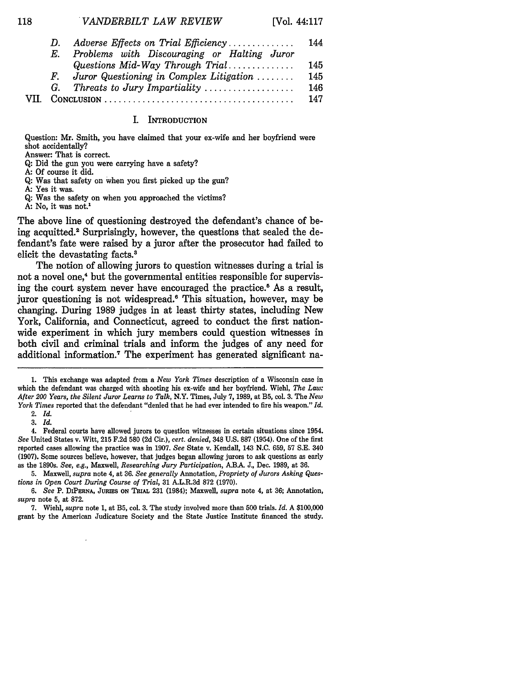| D. | Adverse Effects on Trial Efficiency         | 144 |
|----|---------------------------------------------|-----|
| Е. | Problems with Discouraging or Halting Juror |     |
|    | Questions Mid-Way Through Trial             | 145 |
| F. | Juror Questioning in Complex Litigation     | 145 |
|    | G. Threats to Jury Impartiality             | 146 |
|    |                                             | 147 |

#### I. **INTRODUCTION**

Question: Mr. Smith, you have claimed that your ex-wife and her boyfriend were shot accidentally?

Answer: That is correct.

**Q:** Did the gun you were carrying have a safety?

- **A:** Of course it did.
- **Q:** Was that safety on when you first picked up the gun?
- A: Yes it was.

118

**Q:** Was the safety on when you approached the victims?

**A:** No, it was not.'

The above line of questioning destroyed the defendant's chance of being acquitted.<sup>2</sup> Surprisingly, however, the questions that sealed the defendant's fate were raised **by** a juror after the prosecutor had failed to elicit the devastating facts.'

The notion of allowing jurors to question witnesses during a trial is not a novel one,<sup>4</sup> but the governmental entities responsible for supervising the court system never have encouraged the practice.<sup>8</sup> As a result, juror questioning is not widespread.<sup>6</sup> This situation, however, may be changing. During **1989** judges in at least thirty states, including New York, California, and Connecticut, agreed to conduct the first nationwide experiment in which jury members could question witnesses in both civil and criminal trials and inform the judges of any need for additional information.<sup>7</sup> The experiment has generated significant na-

<sup>1.</sup> This exchange was adapted from a *New York Times* description of a Wisconsin case in which the defendant was charged with shooting his ex-wife and her boyfriend. Wiehl, *The Law: After 200 Years, the Silent Juror Learns to Talk,* N.Y. Times, July 7, 1989, at B5, col. 3. The *New York Times* reported that the defendant "denied that he had ever intended to fire his weapon." *Id.* 2. *Id.*

<sup>3.</sup> *Id.*

<sup>4.</sup> Federal courts have allowed jurors to question witnesses in certain situations since 1954. *See* United States v. Witt, 215 F.2d 580 (2d Cir.), *cert. denied,* 348 U.S. 887 (1954). One of the first reported cases allowing the practice was in 1907. *See* State v. Kendall, 143 N.C. 659, 57 S.E. 340 (1907). Some sources believe, however, that judges began allowing jurors to ask questions as early as the 1890s. *See, e.g.,* Maxwell, *Researching Jury Participation,* ABA J., Dec. 1989, at 36.

<sup>5.</sup> Maxwell, *supra* note 4, at 36. *See generally* Annotation, *Propriety of Jurors Asking Questions in Open Court During Course of Trial,* 31 A.L.R.3d 872 (1970).

*<sup>6.</sup> See* P. **DIPERNA,** JuRIEs **ON** TRIAL 231 (1984); Maxwell, *supra* note 4, at 36; Annotation, *supra* note 5, at 872.

<sup>7.</sup> Wiehl, *supra* note 1, at B5, col. 3. The study involved more than 500 trials. *Id.* A \$100,000 grant by the American Judicature Society and the State Justice Institute financed the study.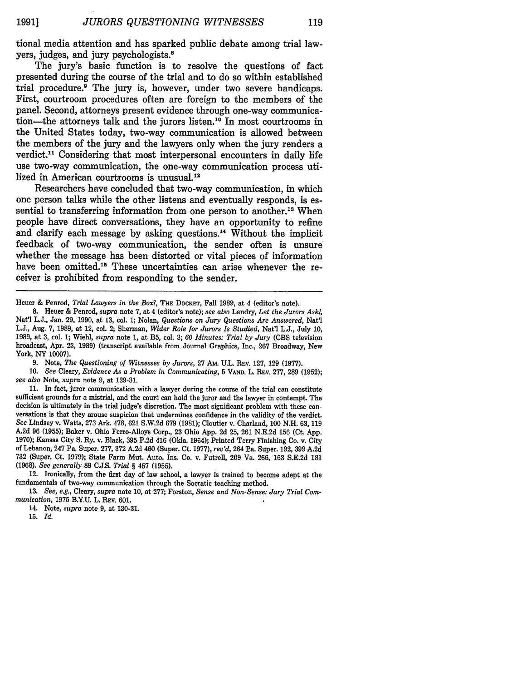tional media attention and has sparked public debate among trial lawyers, judges, and jury psychologists.'

The jury's basic function is to resolve the questions of fact presented during the course of the trial and to do so within established trial procedure.' The jury is, however, under two severe handicaps. First, courtroom procedures often are foreign to the members of the panel. Second, attorneys present evidence through one-way communication-the attorneys talk and the jurors listen.'0 In most courtrooms in the United States today, two-way communication is allowed between the members of the jury and the lawyers only when the jury renders a verdict.<sup>11</sup> Considering that most interpersonal encounters in daily life use two-way communication, the one-way communication process utilized in American courtrooms is unusual.<sup>12</sup>

Researchers have concluded that two-way communication, in which one person talks while the other listens and eventually responds, is essential to transferring information from one person to another.<sup>13</sup> When people have direct conversations, they have an opportunity to refine and clarify each message by asking questions.<sup>14</sup> Without the implicit feedback of two-way communication, the sender often is unsure whether the message has been distorted or vital pieces of information have been omitted.<sup>15</sup> These uncertainties can arise whenever the receiver is prohibited from responding to the sender.

Heuer & Penrod, *Trial Lawyers in the Box?, THE* DocKET, Fall 1989, at 4 (editor's note).

9. Note, *The Questioning of Witnesses by Jurors,* 27 AM. U.L. REv. 127, 129 (1977).

10. *See* Cleary, *Evidence As a Problem in Communicating,* 5 **VAND.** L. REV. 277, 289 (1952); *see also* Note, *supra* note 9, at 129-31.

11. In fact, juror communication with a lawyer during the course of the trial can constitute sufficient grounds for a mistrial, and the court can hold the juror and the lawyer in contempt. The decision is ultimately in the trial judge's discretion. The most significant problem with these conversations is that they arouse suspicion that undermines confidence in the validity of the verdict. *See* Lindsey v. Watts, **273** Ark. 478, 621 S.W.2d 679 (1981); Cloutier v. Charland, 100 N.H. 63, 119 A.2d 96 (1955); Baker v. Ohio Ferro-Alloys Corp., 23 Ohio App. 2d 25, **261** N.E.2d **156** (Ct. App. 1970); Kansas City S. Ry. v. Black, 395 P.2d 416 (Okla. 1964); Printed Terry Finishing Co. v. City of Lebanon, 247 Pa. Super. 277, 372 A.2d 460 (Super. Ct. 1977), *rev'd,* 264 **Pa.** Super. 192, 399 A.2d 732 (Super. Ct. 1979); State Farm Mut. Auto. Ins. Co. v. Futrell, 209 Va. 266, 163 S.E.2d 181 (1968). *See generally* 89 C.J.S. *Trial* § 457 (1955).

12. Ironically, from the first day of law school, a lawyer is trained to become adept at the fundamentals of two-way communication through the Socratic teaching method.

13. *See, e.g.,* Cleary, *supra* note 10, at 277; Forston, *Sense and Non-Sense: Jury Trial Communication,* 1975 B.Y.U. L. REv. 601.

14. Note, *supra* note 9, at 130-31.

15. *Id.*

**<sup>8.</sup>** Heuer & Penrod, *supra* note 7, at 4 (editor's note); *see also* Landry, *Let the Jurors Ask!,* Nat'l L.J., Jan. 29, 1990, at 13, col. 1; Nolan, *Questions on Jury Questions Are Answered,* Nat'l L.J., Aug. 7, 1989, at 12, col. 2; Sherman, *Wider Role for Jurors Is Studied,* Nat'l L.J., July 10, 1989, at 3, col. 1; WiehI, *supra* note 1, at B5, col. 3; *60 Minutes: Trial by Jury* (CBS television broadcast, Apr. 23, 1989) (transcript available from Journal Graphics, Inc., 267 Broadway, New York, NY 10007).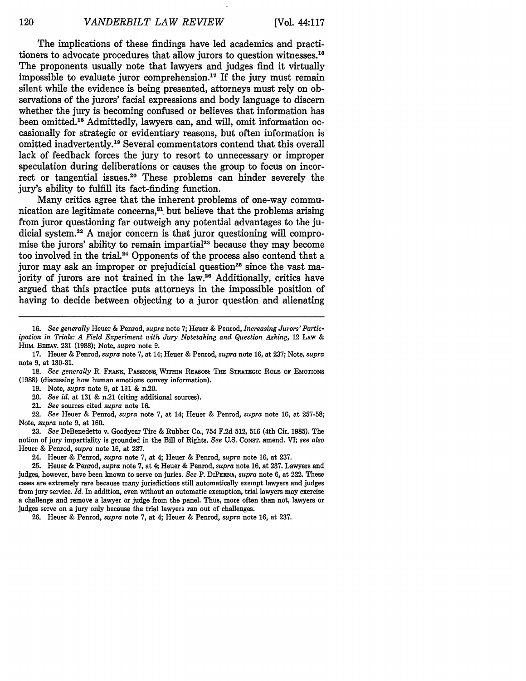The implications of these findings have led academics and practitioners to advocate procedures that allow jurors to question witnesses.'6 The proponents usually note that lawyers and judges find it virtually impossible to evaluate juror comprehension.<sup>17</sup> If the jury must remain silent while the evidence is being presented, attorneys must rely on observations of the jurors' facial expressions and body language to discern whether the jury is becoming confused or believes that information has been omitted.<sup>18</sup> Admittedly, lawyers can, and will, omit information occasionally for strategic or evidentiary reasons, but often information is omitted inadvertently.<sup>19</sup> Several commentators contend that this overall lack of feedback forces the jury to resort to unnecessary or improper speculation during deliberations or causes the group to focus on incorrect or tangential issues.20 These problems can hinder severely the jury's ability to fulfill its fact-finding function.

Many critics agree that the inherent problems of one-way communication are legitimate concerns, $2<sup>1</sup>$  but believe that the problems arising from juror questioning far outweigh any potential advantages to the judicial system.2 <sup>2</sup>**A** major concern is that juror questioning **will** compromise the jurors' ability to remain impartial<sup>23</sup> because they may become too involved in the trial.<sup>24</sup> Opponents of the process also contend that a juror may ask an improper or prejudicial question<sup>25</sup> since the vast majority of jurors are not trained in the law.<sup>26</sup> Additionally, critics have argued that this practice puts attorneys in the impossible position of having to decide between objecting to a juror question and alienating

- **19.** Note, *supra* note **9,** at **131 &** n.20.
- 20. *See id.* at **131 &** n.21 (citing additional sources).
- 21. *See* sources cited *supra* note **16.**

22. *See* Heuer **&** Penrod, *supra* note **7,** at 14; Heuer **&** Penrod, *supra* note **16,** at **257-58;** Note, *supra* note **9,** at **160.**

**23.** *See* DeBenedetto v. Goodyear Tire **&** Rubber Co., 754 **F.2d 512, 516** (4th Cir. **1985).** The notion of jury impartiality is grounded in the Bill of Rights. *See* **U.S. CONST.** amend. VI; *see also* Heuer **&** Penrod, *supra* note **16,** at **237.**

24. Heuer **&** Penrod, *supra* note **7,** at 4; Heuer **&** Penrod, *supra* **note 16,** at **237.**

**25.** Heuer **&** Penrod, *supra* note **7,** at 4; Heuer **&** Penrod, *supra* note **16,** at **237.** Lawyers and judges, however, have been known to serve on juries. *See* P. **DIPERNA,** *supra* note **6,** at 222. These cases are extremely rare because many jurisdictions still automatically exempt lawyers and judges from jury service. *Id.* In addition, even without an automatic exemption, trial lawyers may exercise a challenge and remove a lawyer or judge from the panel. Thus, more often than not, lawyers or judges serve on a jury only because the trial lawyers ran out of challenges.

**26.** Heuer **&** Penrod, *supra* note **7,** at 4; Heuer **&** Penrod, *supra* note **16,** at **237.**

**<sup>16.</sup>** *See generally* Heuer **&** Penrod, *supra* note **7;** Heuer **&** Penrod, *Increasing Jurors' Participation in Trials: A Field Experiment with Jury Notetaking and Question Asking,* 12 LAw **&** HUM. BEHAV. **231 (1988);** Note, *supra* note **9.**

**<sup>17.</sup>** Heuer **&** Penrod, *supra* note **7,** at 14; Heuer **&** Penrod, *supra* note **16,** at **237;** Note, *supra* note **9,** at **130-31.**

**<sup>18.</sup>** *See generally* R. FRANK, PASSIONS. WrrHIN REASON: THE STRATEGIC ROLE OF EMOTIONS **(1988)** (discussing how human emotions convey information).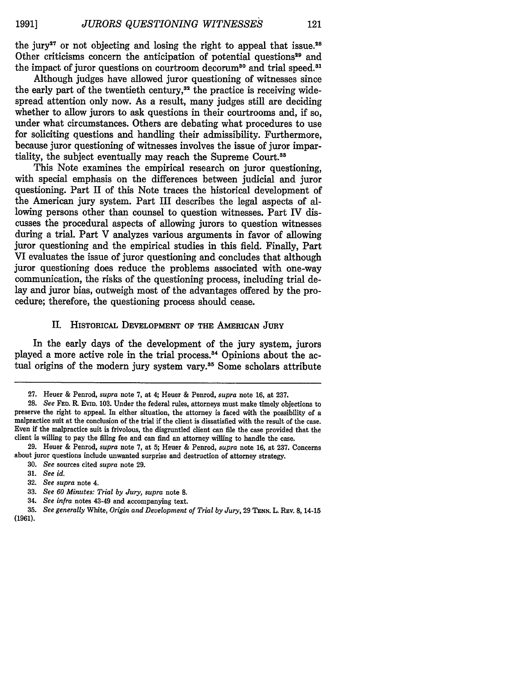121

the jury<sup>27</sup> or not objecting and losing the right to appeal that issue.<sup>28</sup> Other criticisms concern the anticipation of potential questions<sup>29</sup> and the impact of juror questions on courtroom decorum<sup>30</sup> and trial speed.<sup>31</sup>

Although judges have allowed juror questioning of witnesses since the early part of the twentieth century, $32$  the practice is receiving widespread attention only now. As a result, many judges still are deciding whether to allow jurors to ask questions in their courtrooms and, if so, under what circumstances. Others are debating what procedures to use for soliciting questions and handling their admissibility. Furthermore, because juror questioning of witnesses involves the issue of juror impartiality, the subject eventually may reach the Supreme Court.<sup>33</sup>

This Note examines the empirical research on juror questioning, with special emphasis on the differences between judicial and juror questioning. Part II of this Note traces the historical development of the American jury system. Part III describes the legal aspects of allowing persons other than counsel to question witnesses. Part IV discusses the procedural aspects of allowing jurors to question witnesses during a trial. Part V analyzes various arguments in favor of allowing juror questioning and the empirical studies in this field. Finally, Part VI evaluates the issue of juror questioning and concludes that although juror questioning does reduce the problems associated with one-way communication, the risks of the questioning process, including trial delay and juror bias, outweigh most of the advantages offered **by** the procedure; therefore, the questioning process should cease.

#### II. HISTORICAL **DEVELOPMENT** OF THE AMERICAN **JURY**

In the early days of the development of the jury system, jurors played a more active role in the trial process.<sup>34</sup> Opinions about the actual origins of the modern jury system vary.<sup>35</sup> Some scholars attribute

**29.** Heuer & Penrod, *supra* note **7,** at **5;** Heuer **&** Penrod, *supra* note **16,** at **237.** Concerns about juror questions include unwanted surprise and destruction of attorney strategy. **30.** *See* sources cited *supra* note **29.**

- **31.** *See id.*
- **32.** *See supra* note 4.
- **33.** *See 60 Minutes: Trial by Jury, supra* note **8.**
- 34. *See infra* notes 43-49 and accompanying text.
- **35.** *See generally* White, *Origin and Development of Trial by Jury,* **29 TENN.** L. REv. 8, 14-15
- **(1961).**

**<sup>27.</sup>** Heuer **&** Penrod, *supra* note **7,** at 4; Heuer & Penrod, *supra* note **16,** at **237.**

**<sup>28.</sup>** *See* **FED.** R **EVID. 103.** Under the federal rules, attorneys must make timely objections to preserve the right to appeal. In either situation, the attorney is faced with the possibility of a malpractice suit at the conclusion of the trial if the client is dissatisfied with the result of the case. Even if the malpractice suit is frivolous, the disgruntled client can file the case provided that the client is willing to pay the filing fee and can find an attorney willing to handle the case.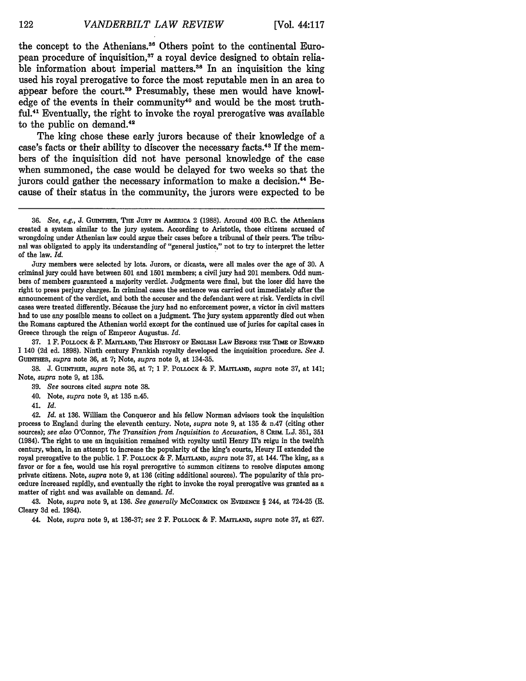the concept to the Athenians.<sup>36</sup> Others point to the continental European procedure of inquisition,<sup>37</sup> a royal device designed to obtain reliable information about imperial matters.<sup>38</sup> In an inquisition the king used his royal prerogative to force the most reputable men in an area to appear before the court.<sup>39</sup> Presumably, these men would have knowledge of the events in their community<sup>40</sup> and would be the most truth**ful. 41** Eventually, the right to invoke the royal prerogative was available to the public on demand.<sup>42</sup>

The king chose these early jurors because of their knowledge of a case's facts or their ability to discover the necessary facts.43 **If** the members of the inquisition did not have personal knowledge of the case when summoned, the case would be delayed for two weeks so that the jurors could gather the necessary information to make a decision.<sup>44</sup> Because of their status in the community, the jurors were expected to be

**37. 1** F. **POLLOCK &** F. **MAITLAND, THE HISTORY OF ENGLISH LAW BEFORE THE TIME OF EDWARD <sup>1</sup>**140 **(2d** ed. **1898).** Ninth century Frankish royalty developed the inquisition procedure. *See J.* **GUINTHER,** *supra* note **36,** at **7;** Note, *supra* note **9,** at 134-35.

**38. J. GUINTHER,** *supra* note **36,** at **7; 1** F. **POLLOCK &** F. **MAITLAND,** *supra* note **37,** at 141; Note, *supra* note **9,** at **135.**

**39.** *See* sources cited *supra* note **38.**

40. Note, *supra* note **9,** at **135** n.45.

41. *Id.*

42. *Id.* at 136. William the Conqueror and his fellow Norman advisors took the inquisition process to England during the eleventh century. Note, *supra* note 9, at 135 & n.47 (citing other sources); *see also* O'Connor, *The Transition from Inquisition to Accusation,* 8 **CRIM.** L.J. 351, **351** (1984). The right to use an inquisition remained with royalty until Henry II's reign in the twelfth century, when, in an attempt to increase the popularity of the king's courts, Henry II extended the royal prerogative to the public. 1 F. POLLOCK & F. **MAITLAND,** *supra* note 37, at 144. The king, as a favor or for a fee, would use his royal prerogative to summon citizens to resolve disputes among private citizens. Note, *supra* note 9, at 136 (citing additional sources). The popularity of this procedure increased rapidly, and eventually the right to invoke the royal prerogative was granted as a matter of right and was available on demand. *Id.*

43. Note, *supra* note 9, at 136. *See generally* McCORMICK **ON EVIDENCE** § 244, at 724-25 **(E.** Cleary 3d ed. 1984).

44. Note, *supra* note 9, at 136-37; *see* 2 F. POLLOCK **&** F. MAITLAND, *supra* note 37, at 627.

**<sup>36.</sup>** *See, e.g.,* **J. GUINTHER, THE JURY** IN **AMERICA** 2 **(1988).** Around 400 B.C. the Athenians created a system similar to the jury system. According to Aristotle, those citizens accused of wrongdoing under Athenian law could argue their cases before a tribunal of their peers. The tribunal was obligated to apply its understanding of "general justice," not to try to interpret the letter of the law. *Id.*

Jury members were selected by lots. Jurors, or dicasts, were all males over the age of **30.** A criminal jury could have between 501 and 1501 members; a civil jury had 201 members. Odd numbers of members guaranteed a majority verdict. Judgments were final, but the loser did have the right to press perjury charges. In criminal cases the sentence was carried out immediately after the announcement of the verdict, and both the accuser and the defendant were at risk. Verdicts in civil cases were treated differently. Bicause the jury had no enforcement power, a victor in civil matters had to use any possible means to collect on a judgment. The jury system apparently died out when the Romans captured the Athenian world except for the continued use of juries for capital cases in Greece through the reign of Emperor Augustus. *Id.*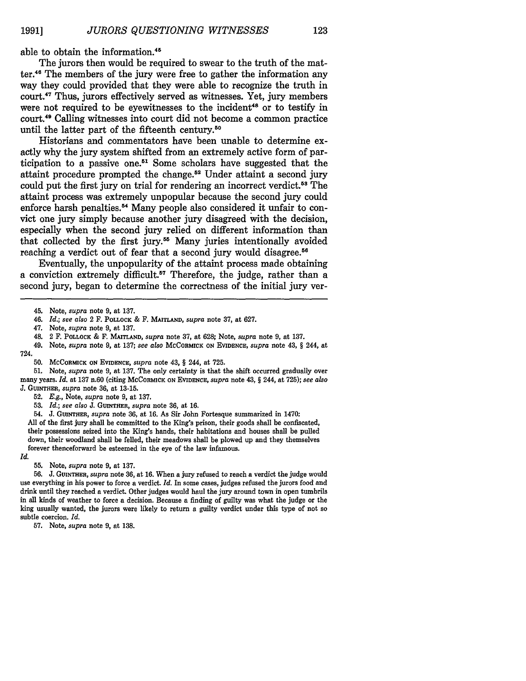able to obtain the information.45

The jurors then would be required to swear to the truth of the matter.<sup>46</sup> The members of the jury were free to gather the information any way they could provided that they were able to recognize the truth in court.47 Thus, jurors effectively served as witnesses. Yet, jury members were not required to be evewitnesses to the incident<sup>48</sup> or to testify in court.4 9 Calling witnesses into court did not become a common practice until the latter part of the fifteenth century.50

Historians and commentators have been unable to determine exactly why the jury system shifted from an extremely active form of participation to a passive one.5' Some scholars have suggested that the attaint procedure prompted the change.52 Under attaint a second jury could put the first jury on trial for rendering an incorrect verdict **. <sup>5</sup>**The attaint process was extremely unpopular because the second jury could enforce harsh penalties.<sup>54</sup> Many people also considered it unfair to convict one jury simply because another jury disagreed with the decision, especially when the second jury relied on different information than that collected **by** the first **jury.5 <sup>5</sup>**Many juries intentionally avoided reaching a verdict out of fear that a second jury would disagree.<sup>56</sup>

Eventually, the unpopularity of the attaint process made obtaining a conviction extremely **difficult.<sup>57</sup>**Therefore, the judge, rather than a second jury, began to determine the correctness of the initial jury ver-

51. Note, *supra* note 9, at 137. The only certainty is that the shift occurred gradually over many years. *Id.* at 137 n.60 (citing MCCORMICK **ON** *EVIDENCE, supra* note 43, § 244, at 725); *see also* J. **GUINTHER,** *supra* note **36,** at 13-15.

52. *E.g.,* Note, *supra* note 9, at 137.

53. *Id.; see also* J. GUINTHER, *supra* note 36, at 16.

54. **J. GUINTHER,** *supra* note **36,** at 16. As Sir John Fortesque summarized in 1470:

All of the first jury shall be committed to the King's prison, their goods shall be confiscated, their possessions seized into the King's hands, their habitations and houses shall be pulled down, their woodland shall be felled, their meadows shall be plowed up and they themselves forever thenceforward be esteemed in the eye of the law infamous.

*Id.*

56. J. **GUINTHER,** *supra* note 36, at 16. When a jury refused to reach a verdict the judge would use everything in his power to force a verdict. *Id.* In some cases, judges refused the jurors food and drink until they reached a verdict. Other judges would haul the jury around town in open tumbrils in all kinds of weather to force a decision. Because a finding of guilty was what the judge or the king usually wanted, the jurors were likely to return a guilty verdict under this type of not so subtle coercion. *Id.*

57. Note, *supra* note 9, at 138.

<sup>45.</sup> Note, *supra* note **9,** at **137.**

<sup>46.</sup> *Id.; see also* 2 F. POLLOCK **&** F. **MAITLAND,** *supra* note **37,** at **627.**

<sup>47.</sup> Note, *supra* note *9,* at 137.

<sup>48. 2</sup> F. **POLLOCK** & F. *MAITLAND, supra* note 37, at 628; Note, *supra* note 9, at 137.

<sup>49.</sup> Note, *supra* note 9, at 137; *see also* **MCCORMICK ON EVIDENCE,** *supra* note 43, § 244, at 724.

**<sup>50.</sup>** MCCORMICK ON **EVIDENCE,** *supra* note 43, § 244, at 725.

**<sup>55.</sup>** Note, *supra* note 9, at 137.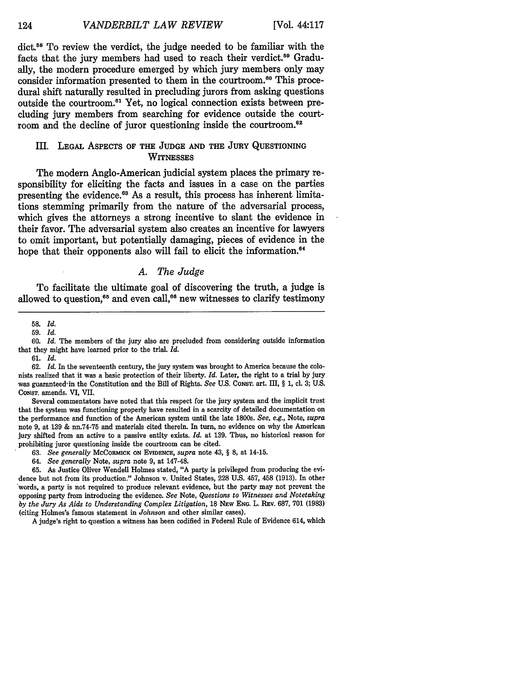dict.<sup>58</sup> To review the verdict, the judge needed to be familiar with the facts that the jury members had used to reach their verdict.<sup>59</sup> Gradually, the modern procedure emerged by which jury members only may consider information presented to them in the courtroom.<sup>60</sup> This procedural shift naturally resulted in precluding jurors from asking questions outside the courtroom.<sup>61</sup> Yet, no logical connection exists between precluding jury members from searching for evidence outside the courtroom and the decline of juror questioning inside the courtroom.<sup>62</sup>

#### III. **LEGAL** ASPECTS OF **THE JUDGE AND THE JURY** QUESTIONING **WITNESSES**

The modern Anglo-American judicial system places the primary responsibility for eliciting the facts and issues in a case on the parties presenting the evidence.<sup>63</sup> As a result, this process has inherent limitations stemming primarily from the nature of the adversarial process, which gives the attorneys a strong incentive to slant the evidence in their favor. The adversarial system also creates an incentive for lawyers to omit important, but potentially damaging, pieces of evidence in the hope that their opponents also will fail to elicit the information.<sup>64</sup>

#### *A. The Judge*

To facilitate the ultimate goal of discovering the truth, a judge is allowed to question,<sup>65</sup> and even call,<sup>66</sup> new witnesses to clarify testimony

60. *Id.* The members of the jury also are precluded from considering outside information that they might have learned prior to the trial. *Id.*

62. *Id.* In the seventeenth century, the jury system was brought to America because the colonists realized that it was a basic protection of their liberty. *Id.* Later, the right to a trial by jury was guarantee&in the Constitution and the Bill of Rights. *See* U.S. CONST. art. III, § 1, cl. 3; U.S. CONST. amends. VI, VII.

Several commentators have noted that this respect for the jury system and the implicit trust that the system was functioning properly have resulted in a scarcity of detailed documentation on the performance and function of the American system until the late 1800s. *See,* e.g., Note, *supra* note 9, at **139** & nn.74-75 and materials cited therein. In turn, no evidence on why the American jury shifted from an active to a passive entity exists. *Id.* at 139. Thus, no historical reason for prohibiting juror questioning inside the courtroom can be cited.

63. *See generally* MCCORMICK **ON EVIDENCE,** *supra* note 43, § **8,** at 14-15.

64. *See generally* Note, *supra* note 9, at 147-48.

65. As Justice Oliver Wendell Holmes stated, "A party is privileged from producing the evidence but not from its production." Johnson v. United States, 228 U.S. 457, 458 (1913). In other words, a party is not required to produce relevant evidence, but the party may not prevent the opposing party from introducing the evidence. *See* Note, *Questions to Witnesses and Notetaking by the Jury As Aids to Understanding Complex Litigation,* 18 **NEW** ENG. L. REV. 687, 701 **(1983)** (citing Holmes's famous statement in *Johnson* and other similar cases).

A judge's right to question a witness has been codified in Federal Rule of Evidence 614, which

**<sup>58.</sup>** *Id.*

**<sup>59.</sup>** *Id.*

<sup>61.</sup> *Id.*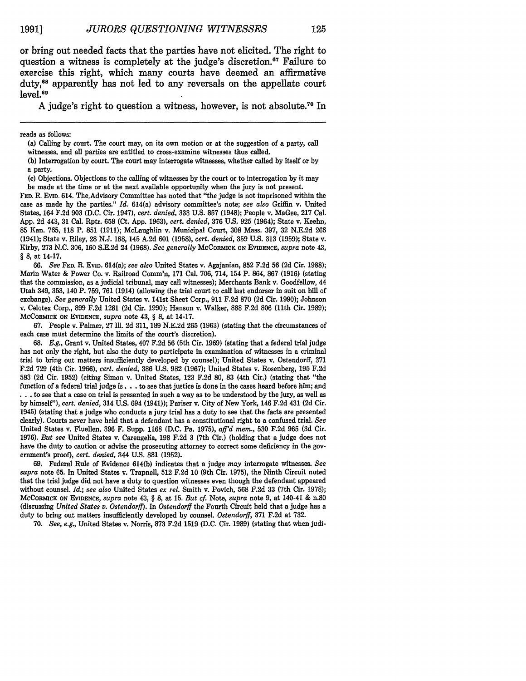or bring out needed facts that the parties have not elicited. The right to question a witness is completely at the judge's discretion.<sup>67</sup> Failure to exercise this right, which many courts have deemed an affirmative duty,<sup>68</sup> apparently has not led to any reversals on the appellate court level.<sup>69</sup>

A judge's right to question a witness, however, is not absolute.70 In

reads as follows:

(a) Calling by court. The court may, on its own motion or at the suggestion of a party, call witnesses, and all parties are entitled to cross-examine witnesses thus called.

**(b)** Interrogation **by** court. The court may interrogate witnesses, whether called **by** itself or **by** a party,

(c) Objections. Objections to the calling of witnesses **by** the court or to interrogation **by** it may be made at the time or at the next available opportunity when the jury is not present.

**FED.** R. **EVID.** 614. The.Advisory Committee has noted that "the judge is not imprisoned within the case as made **by** the parties." *Id.* 614(a) advisory committee's note; *see also* Griffin v. United States, 164 **F.2d 903 (D.C.** Cir. 1947), *cert. denied,* **333 U.S. 857** (1948); People v. MaGee, **217** Cal. **App. 2d** 443, **31** Cal. Rptr. **658** (Ct. **App. 1963),** *cert. denied,* **376 U.S.** 925 (1964); State v. Keehn, **85** Kan. **765, 118** P. **851 (1911);** McLaughlin v. Municipal Court, **308** Mass. **397, 32 N.E.2d 266** (1941); State v. Riley, **28 N.J. 188,** 145 **A.2d 601 (1958),** *cert. denied,* **359 U.S. 313 (1959);** State v. Kirby, **273 N.C. 306, 160 S.E.2d** 24 **(1968).** *See generally* MCCORMICK **ON EVIDENCE,** *supra* note 43, *§* **8,** at 14-17.

**66.** *See* FED. *1R* **EVID.** 614(a); *see also* United States v. Agajanian, **852 F.2d 56 (2d** Cir. **1988);** Main Water **&** Power Co. v. Railroad Comm'n, **171** Cal. **706,** 714, 154 P. 864, **867 (1916)** (stating that the commission, as a judicial tribunal, may call witnesses); Merchants Bank v. Goodfellow, 44 Utah 349, **353,** 140 P. **759, 761** (1914) (allowing the trial court to call last endorser in suit on bill of exchange). *See generally* United States v. 141st Sheet Corp., **911 F.2d 870 (2d** Cir. **1990);** Johnson v. Celotex Corp., **899 F.2d 1281 (2d** Cir. **1990);** Hanson v. Walker, **888 F.2d 806** (11th Cir. **1989);** MCCORMICK **ON** EVIDENCE, *supra* note 43, § **8,** at 14-17.

**67.** People v. Palmer, **27 Ill. 2d 311, 189 N.E.2d 265 (1963)** (stating that the circumstances of each case must determine the limits of the court's discretion).

**68.** *E.g.,* Grant v. United States, 407 **F.2d 56** (5th Cir. **1969)** (stating that a federal trial judge has not only the right, but also the duty to participate in examination of witnesses in a criminal trial to bring out matters insufficiently developed **by** counsel); United States v. Ostendorff, **371 F.2d 729 (4th** Cir. **1966),** *cert. denied,* **386 U.S. 982 (1967);** United States v. Rosenberg, **195 F.2d 583 (2d** Cir. **1952)** (citing Simon v. United States, **123 F.2d 80, 83** (4th Cir.) (stating that "the function of a federal trial judge is **...** to see that justice is done in the cases heard before him; and **...** to see that a case on trial is presented in such a way as to be understood **by** the jury, as well as **by** himself"), *cert. denied,* 314 **U.S.** 694 (1941)); Pariser v. City of New York, 146 **F.2d** 431 **(2d** Cir. 1945) (stating that a judge who conducts a jury trial has a duty to see that the facts are presented clearly). Courts never have held that a defendant has a constitutional right to a confused trial. *See* United States v. Fluellen, **396** F. Supp. **1168 (D.C.** Pa. **1975),** *aff'd mem.,* **530 F.2d 965 (3d** Cir. **1976).** *But see* United States v. Carengelia, **198 F.2d 3** (7th Cir.) (holding that a judge does not have the duty to caution or advise the prosecuting attorney to correct some deficiency in the government's proof), *cert. denied,* 344 **U.S. 881 (1952).**

**69.** Federal Rule of Evidence 614(b) indicates that a judge *may* interrogate witnesses. *See supra* note **65.** In United States v. Trapnell, **512 F.2d 10** (9th Cir. **1975),** the Ninth Circuit noted that the trial judge did not have a duty to question witnesses even though the defendant appeared without counsel. *Id.; see also* United States *ex rel.* Smith v. Povich, **568 F.2d 33** (7th Cir. **1978);** MCCORMICK **ON EVIDENCE,** *supra* note 43, § 8, at **15.** *But cf.* Note, *supra* note **9,** at 140-41 & n.80 (discussing *United States v. Ostendorfl). In Ostendorff* the Fourth Circuit held that a judge has a duty to bring out matters insufficiently developed by counsel. *Ostendorff,* 371 F.2d at 732.

70. *See, e.g.,* United States v. Norris, 873 F.2d 1519 (D.C. Cir. 1989) (stating that when judi-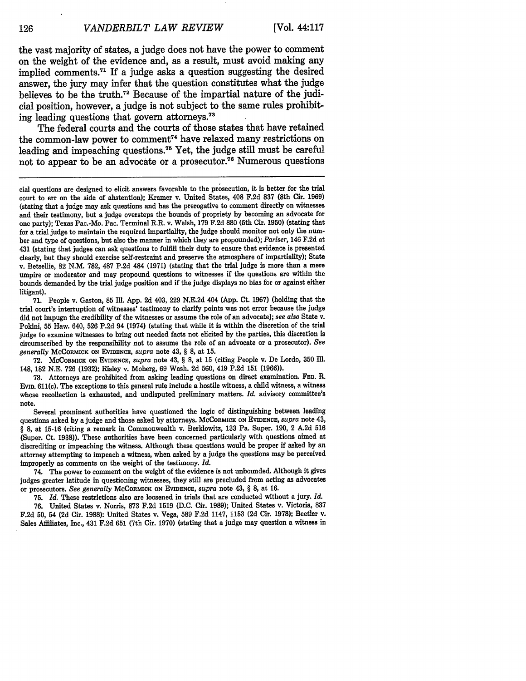the vast majority of states, a judge does not have the power to comment on the weight of the evidence and, as a result, must avoid making any implied comments.<sup>71</sup> If a judge asks a question suggesting the desired answer, the jury may infer that the question constitutes what the judge believes to be the truth.<sup>72</sup> Because of the impartial nature of the judicial position, however, a judge is not subject to the same rules prohibiting leading questions that govern attorneys.<sup>73</sup>

The federal courts and the courts of those states that have retained the common-law power to comment<sup> $74$ </sup> have relaxed many restrictions on leading and impeaching questions.<sup>75</sup> Yet, the judge still must be careful not to appear to be an advocate or a prosecutor.<sup>76</sup> Numerous questions

71. People v. Gaston, 85 Ill. App. 2d 403, 229 N.E.2d 404 (App. Ct. 1967) (holding that the trial court's interruption of witnesses' testimony to clarify points was not error because the judge did not impugn the credibility of the witnesses or assume the role of an advocate); *see also* State v. Pokini, 55 Haw. 640, 526 P.2d 94 (1974) (stating that while it is within the discretion of the trial judge to examine witnesses to bring out needed facts not elicited by the parties, this discretion is circumscribed by the responsibility not to assume the role of an advocate or a prosecutor). *See generally* MCCORMICK **ON EVIDENCE,** *supra* note 43, § **8,** at 15.

72. **MCCORMICK ON EVIDENCE,** *supra* note 43, § 8, at 15 (citing People v. De Lordo, **350 IlM.** 148, 182 N.E. 726 (1932); Risley v. Moberg, 69 Wash. 2d 560, 419 P.2d 151 (1966)).

73. Attorneys are prohibited from asking leading questions on direct examination. FED. R. **EVID.** 611(c). The exceptions to this general rule include a hostile witness, a child witness, a witness whose recollection is exhausted, and undisputed preliminary matters. *Id.* advisory committee's note.

Several prominent authorities have questioned the logic of distinguishing between leading questions asked by a judge and those asked by attorneys. **MCCORMICK ON EVIDENCE,** *supra* note 43, § 8, at 15-16 (citing a remark in Commonwealth v. Berklowitz, **133** Pa. Super. 190, 2 A.2d 516 (Super. Ct. **1938)).** These authorities have been concerned particularly with questions aimed at discrediting or impeaching the witness. Although these questions would be proper if asked by an attorney attempting to impeach a witness, when asked by a judge the questions may be perceived improperly as comments on the weight of the testimony. *Id.*

74. The power to comment on the weight of the evidence is not unbounded. Although it gives judges greater latitude in questioning witnesses, they still are precluded from acting as advocates or prosecutors. *See generally* **MCCORMICK ON EVIDENCE,** *supra* note 43, § **8,** at 16.

75. *Id.* These restrictions also are loosened in trials that are conducted without a jury. *Id.*

76. United States v. Norris, 873 F.2d 1519 **(D.C.** Cir. 1989); United States v. Victoria, **837** F.2d 50, 54 (2d Cir. 1988): United States v. Vega, **589** F.2d 1147, 1153 **(2d** Cir. 1978); Beetler v. Sales Affiliates, Inc., 431 F.2d 651 (7th Cir. 1970) (stating that a judge may question a witness in

cial questions are designed to elicit answers favorable to the prosecution, it is better for the trial court to err on the side of abstention); Kramer v. United States, 408 F.2d **837** (8th Cir. 1969) (stating that a judge may ask questions and has the prerogative to comment directly on witnesses and their testimony, but a judge oversteps the bounds of propriety by becoming an advocate for one party); Texas Pac.-Mo. Pac. Terminal R.R. v. Welsh, 179 F.2d 880 (5th Cir. **1950)** (stating that for a trial judge to maintain the required impartiality, the judge should monitor not only the number and type of questions, but also the manner in which they are propounded); *Pariser,* 146 F.2d at 431 (stating that judges can ask questions to fulfill their duty to ensure that evidence is presented clearly, but they should exercise self-restraint and preserve the atmosphere of impartiality); State v. Betsellie, 82 N.M. 782, 487 P.2d 484 (1971) (stating that the trial judge is more than a mere umpire or moderator and may propound questions to witnesses if the questions are within the bounds demanded by the trial judge position and if the judge displays no bias for or against either litigant).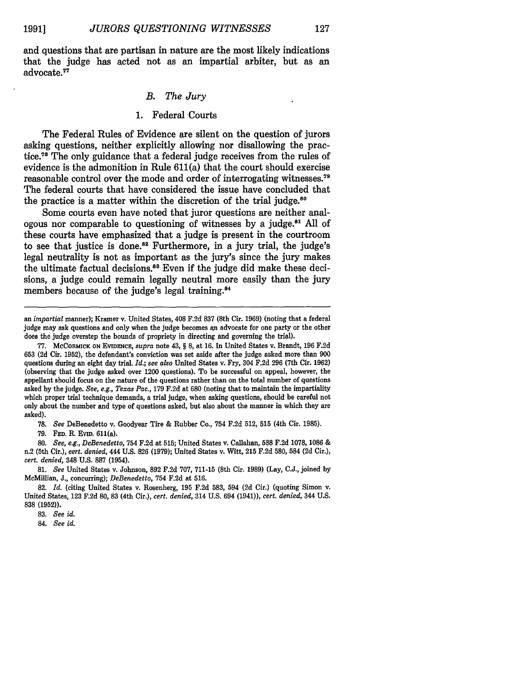127

and questions that are partisan in nature are the most likely indications that the judge has acted not as an impartial arbiter, but as an advocate.<sup>77</sup>

#### *B. The Jury*

#### 1. Federal Courts

The Federal Rules of Evidence are silent on the question of jurors asking questions, neither explicitly allowing nor disallowing the practice.78 The only guidance that a federal judge receives from the rules of evidence is the admonition in Rule 611(a) that the court should exercise reasonable control over the mode and order of interrogating witnesses.<sup>79</sup> The federal courts that have considered the issue have concluded that the practice is a matter within the discretion of the trial judge.<sup>80</sup>

Some courts even have noted that juror questions are neither analogous nor comparable to questioning of witnesses by a judge.<sup>81</sup> All of these courts have emphasized that a judge is present in the courtroom to see that justice is done.<sup>82</sup> Furthermore, in a jury trial, the judge's legal neutrality is not as important as the jury's since the jury makes the ultimate factual decisions.<sup>83</sup> Even if the judge did make these decisions, a judge could remain legally neutral more easily than the jury members because of the judge's legal training.<sup>84</sup>

**78.** *See* DeBenedetto v. Goodyear Tire **&** Rubber Co., 754 **F.2d 512, 515** (4th Cir. **1985).**

**79. FED.** R Evm. 611(a).

*80. See, e.g., DeBenedetto,* 754 **F.2d** at **515;** United States v. Callahan, **588 F.2d 1078, 1086** & n.2 (5th Cir.), *cert. denied,* 444 **U.S. 826 (1979);** United States v. Witt, **215 F.2d 580,** 584 **(2d** Cir.), *cert. denied,* 348 **U.S. 887** (1954).

*81. See* United States v. Johnson, **892 F.2d 707, 711-15** (8th Cir. **1989)** (Lay, **C.J.,** joined **by** McMillian, **J.,** concurring); *DeBenedetto,* 754 **F.2d** at **516.**

**82.** *Id.* (citing United States v. Rosenberg, **195 F.2d 583,** 594 **(2d** Cir.) (quoting Simon v. United States, **123 F.2d 80, 83** (4th Cir.), *cert. denied,* 314 **U.S.** 694 (1941)), *cert. denied,* 344 **U.S. 838 (1952)).**

84. *See id.*

an *impartial* manner); Kramer v. United States, 408 F.2d 837 (8th Cir. 1969) (noting that a federal judge may ask questions and only when the judge becomes **an** advocate for one party or the other does the judge overstep the bounds of propriety in directing and governing the trial).

<sup>77.</sup> McCoRMICK **ON EviDENCE,** *supra* note 43, § 8, at 16. In United States v. Brandt, 196 F.2d **653 (2d** Cir. 1952), the defendant's conviction was set aside after the judge asked more than 900 questions during an eight day trial. *Id.; see also* United States v. Fry, 304 F.2d 296 (7th Cir. 1962) (observing that the judge asked over 1200 questions). To be successful on appeal, however, the appellant should focus on the nature of the questions rather than on the total number of questions asked by the judge. *See, e.g., Texas Pac.,* **179** F.2d at 680 (noting that to maintain the impartiality which proper trial technique demands, a trial judge, when asking questions, should be careful not only about the number and type of questions asked, but also about the manner in which they are asked).

**<sup>83.</sup>** *See id.*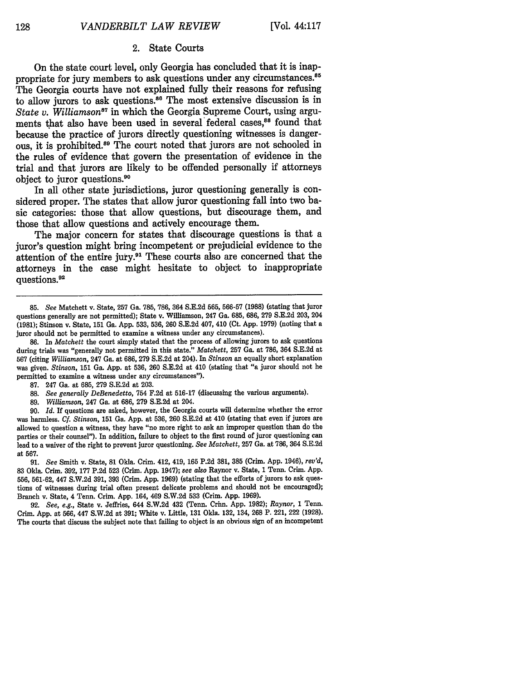#### 2. State Courts

On the state court level, only Georgia has concluded that it is inappropriate for jury members to ask questions under any circumstances.<sup>85</sup> The Georgia courts have not explained fully their reasons for refusing to allow jurors to ask questions.<sup>86</sup> The most extensive discussion is in *State v. Williamson*<sup>87</sup> in which the Georgia Supreme Court, using arguments that also have been used in several federal cases.<sup>88</sup> found that because the practice of jurors directly questioning witnesses is dangerous, it is prohibited.<sup>89</sup> The court noted that jurors are not schooled in the rules of evidence that govern the presentation of evidence in the trial and that jurors are likely to be offended personally if attorneys object to juror questions.90

In all other state jurisdictions, juror questioning generally is considered proper. The states that allow juror questioning fall into two basic categories: those that allow questions, but discourage them, and those that allow questions and actively encourage them.

The major concern for states that discourage questions is that a juror's question might bring incompetent or prejudicial evidence to the attention of the entire jury.91 These courts also are concerned that the attorneys in the case might hesitate to object to inappropriate questions.92

**86.** In *Matchett* the court simply stated that the process of allowing jurors to ask questions during trials was "generally not permitted in this state." *Matchett,* **257** Ga. at **786,** 364 **S.E.2d** at **567** (citing *Williamson,* 247 Ga. at **686, 279 S.E.2d** at 204). In *Stinson* an equally short explanation was given. *Stinson,* **151** Ga. **App.** at **536, 260 S.E.2d** at 410 (stating that "a juror should not be permitted to examine a witness under any circumstances").

89. *Williamson,* 247 Ga. at 686, 279 S.E.2d at 204.

90. *Id.* If questions are asked, however, the Georgia courts will determine whether the error was harmless. *Cf. Stinson,* 151 Ga. App. at 536, 260 S.E.2d at 410 (stating that even if jurors are allowed to question a witness, they have "no more right to ask an improper question than do the parties or their counsel"). In addition, failure to object to the first round of juror questioning can lead to a waiver of the right to prevent juror questioning. *See Matchett,* 257 Ga. at 786, 364 S.E.2d at 567.

91. *See* Smith v. State, **81** Okla. Crim. 412, 419, 165 P.2d 381, **385** (Crim. App. 1946), *rev'd,* 83 Okla. Crim. 392, 177 P.2d 523 (Crim. App. 1947); *see also* Raynor v. State, 1 Tenn. Crim. App. 556, 561-62, 447 S.W.2d 391, 393 (Crim. App. 1969) (stating that the efforts of jurors to ask questions of witnesses during trial often present delicate problems and should not be encouraged); Branch v. State, 4 Tenn. Crim. **App.** 164, 469 **S.W.2d 533** (Crim. **App. 1969).**

**92.** *See, e.g.,* State v. Jeffries, 644 **S.W.2d** 432 (Tenn. Crim. **App. 1982);** *Raynor,* **1** Tenn. Crim. **App.** at **566,** 447 **S.W.2d** at **391;** white v. Little, **131** Okla. **132,** 134, **268** P. 221, 222 **(1928).** The courts that discuss the subject note that failing to object is an obvious sign of an incompetent

<sup>85.</sup> *See* Matchett v. State, 257 Ga. 785, 786, 364 S.E.2d 565, 566-57 (1988) (stating that juror questions generally are not permitted); State v. Williamson, 247 Ga. 685, 686, 279 S.E.2d 203, 204 (1981); Stinson v. State, 151 Ga. App. 533, 536, 260 S.E.2d 407, 410 (Ct. App. 1979) (noting that a juror should not be permitted to examine a witness under any circumstances).

**<sup>87.</sup>** 247 Ga. at **685, 279 S.E.2d** at **203.**

**<sup>88.</sup>** *See generally DeBenedetto,* 754 **F.2d** at **516-17** (discussing the various arguments).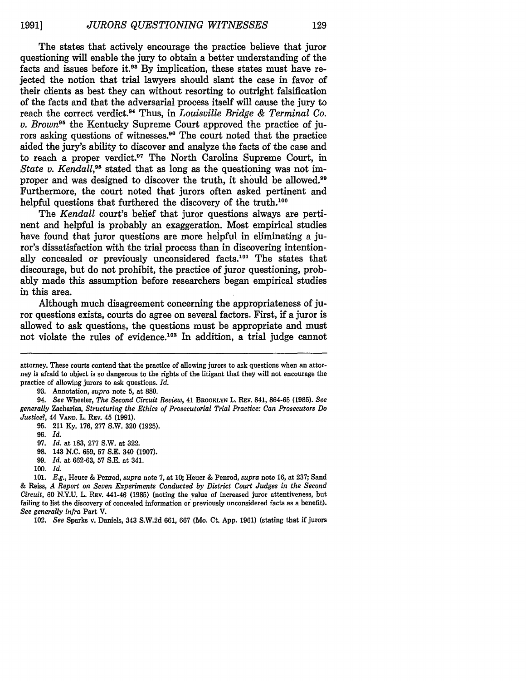The states that actively encourage the practice believe that juror questioning will enable the jury to obtain a better understanding of the facts and issues before it.<sup>93</sup> By implication, these states must have rejected the notion that trial lawyers should slant the case in favor of their clients as best they can without resorting to outright falsification of the facts and that the adversarial process itself will cause the jury to reach the correct verdict. 4 Thus, in *Louisville Bridge & Terminal Co. v. Brown95* the Kentucky Supreme Court approved the practice of jurors asking questions of witnesses.<sup>96</sup> The court noted that the practice aided the jury's ability to discover and analyze the facts of the case and to reach a proper verdict.<sup>97</sup> The North Carolina Supreme Court, in *State v. Kendall,98* stated that as long as the questioning was not improper and was designed to discover the truth, it should be allowed.<sup>99</sup> Furthermore, the court noted that jurors often asked pertinent and helpful questions that furthered the discovery of the truth.<sup>100</sup>

The *Kendall* court's belief that juror questions always are pertinent and helpful is probably an exaggeration. Most empirical studies have found that juror questions are more helpful in eliminating a juror's dissatisfaction with the trial process than in discovering intentionally concealed or previously unconsidered facts.101 The states that discourage, but do not prohibit, the practice of juror questioning, probably made this assumption before researchers began empirical studies in this area.

Although much disagreement concerning the appropriateness of juror questions exists, courts do agree on several factors. First, if a juror is allowed to ask questions, the questions must be appropriate and must not violate the rules of evidence.<sup>102</sup> In addition, a trial judge cannot

93. Annotation, *supra* note 5, at 880.

94. *See* Wheeler, *The Second Circuit Review,* 41 BROoKLYN L. REv. 841, 864-65 (1985). *See generally* Zacharias, *Structuring the Ethics of Prosecutorial Trial Practice: Can Prosecutors Do Justice?,* 44 **VAND.** L. REv. 45 (1991).

**95.** 211 Ky. 176, 277 S.W. 320 (1925).

96. Id.

- 99. *Id.* at 662-63, **57** S.E. at 341.
- loo. Id.

101. *E.g.,* Heuer & Penrod, *supra* note 7, at 10; Heuer & Penrod, *supra* note 16, at 237; Sand & Reiss, *A Report on Seven Experiments Conducted by District Court Judges in the Second Circuit,* 60 N.Y.U. L. **RE.v** 441-46 (1985) (noting the value of increased juror attentiveness, but failing to list the discovery of concealed information or previously unconsidered facts as a benefit). *See generally infra* Part V.

102. *See* Sparks v. Daniels, 343 S.W.2d 661, 667 (Mo. Ct. App. 1961) (stating that if jurors

attorney. These courts contend that the practice of allowing jurors to ask questions when an attorney is afraid to object is so dangerous to the rights of the litigant that they will not encourage the practice of allowing jurors to ask questions. *Id.*

<sup>97.</sup> *Id.* at 183, 277 S.W. at 322.

**<sup>98.</sup>** 143 N.C. 659, 57 S.E. 340 (1907).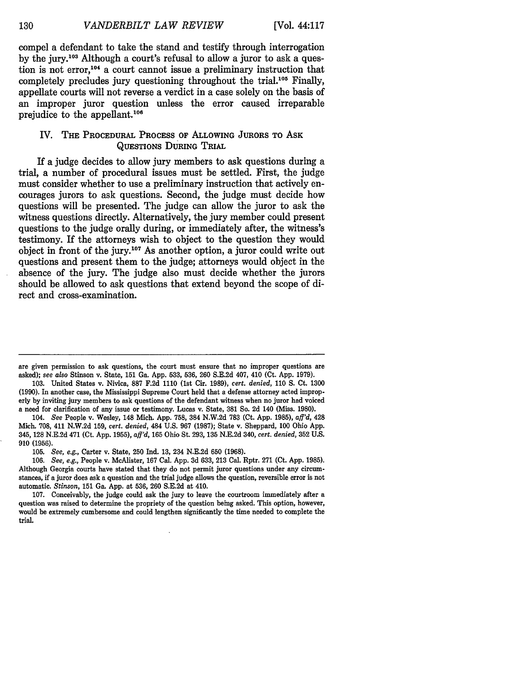compel a defendant to take the stand and testify through interrogation **by** the jury.103 Although a court's refusal to allow a juror to ask a question is not error, 104 a court cannot issue a preliminary instruction that completely precludes jury questioning throughout the trial.<sup>105</sup> Finally, appellate courts will not reverse a verdict in a case solely on the basis of an improper juror question unless the error caused irreparable prejudice to the appellant.<sup>106</sup>

#### IV. THE PROCEDURAL **PROCESS OF ALLOWING JURORS TO ASK QUESTIONS** DURING TRIAL

If a judge decides to allow jury members to ask questions during a trial, a number of procedural issues must be settled. First, the judge must consider whether to use a preliminary instruction that actively encourages jurors to ask questions. Second, the judge must decide how questions will be presented. The judge can allow the juror to ask the witness questions directly. Alternatively, the jury member could present questions to the judge orally during, or immediately after, the witness's testimony. If the attorneys wish to object to the question they would object in front of the **jury.<sup>07</sup>**As another option, a juror could write out questions and present them to the judge; attorneys would object in the absence of the jury. The judge also must decide whether the jurors should be allowed to ask questions that extend beyond the scope of direct and cross-examination.

103. United States v. Nivica, 887 F.2d 1110 (1st Cir. 1989), *cert. denied,* 110 S. Ct. 1300 (1990). In another case, the Mississippi Supreme Court held that a defense attorney acted improperly **by** inviting jury members to ask questions of the defendant witness when no juror had voiced a need for clarification of any issue or testimony. Lucas v. State, **381** So. 2d 140 (Miss. 1980).

104. *See* People v. Wesley, 148 Mich. App. 758, 384 N.W.2d 783 (Ct. App. 1985), *aff'd,* 428 Mich. 708, 411 N.W.2d 159, *cert. denied,* 484 U.S. 967 (1987); State v. Sheppard, 100 Ohio App. 345, **128** N.E.2d 471 (Ct. App. 1955), *afl'd,* 165 Ohio St. 293, 135 N.E.2d 340, *cert. denied,* 352 U.S. **910 (1956).**

105. *See, e.g.,* Carter v. State, 250 Ind. **13,** 234 N.E.2d 650 (1968).

106. *See, e.g.,* People v. McAlister, 167 Cal. App. 3d 633, 213 Cal. Rptr. 271 (Ct. App. 1985). Although Georgia courts have stated that they do not permit juror questions under any circumstances, if a juror does ask a question and the trial judge allows the question, reversible error is not automatic. *Stinson,* 151 Ga. App. at 536, 260 S.E.2d at 410.

107. Conceivably, the judge could ask the jury to leave the courtroom immediately after a question was raised to determine the propriety of the question being asked. This option, however, would be extremely cumbersome and could lengthen significantly the time needed to complete the trial.

are given permission to ask questions, the court must ensure that no improper questions are asked); *see also* Stinson v. State, **151** Ga. App. 533, 536, 260 S.E.2d 407, 410 (Ct. App. 1979).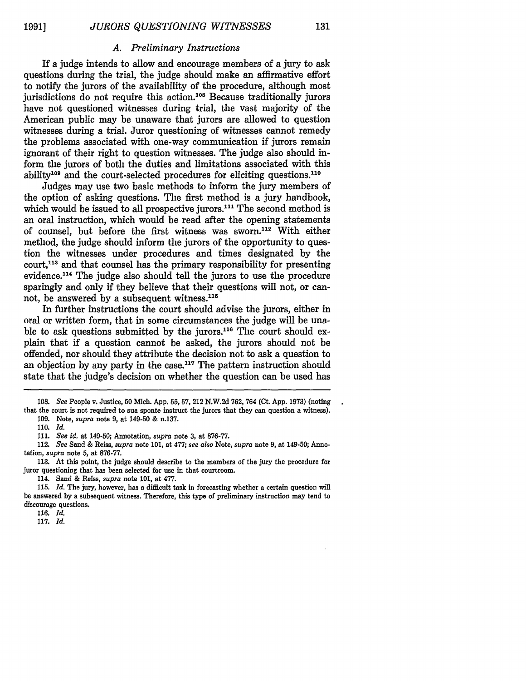**1991]**

#### *A. Preliminary Instructions*

If a judge intends to allow and encourage members of a jury to ask questions during the trial, the judge should make an affirmative effort to notify the jurors of the availability of the procedure, although most jurisdictions do not require this action.<sup>108</sup> Because traditionally jurors have not questioned witnesses during trial, the vast majority of the American public may be unaware that jurors are allowed to question witnesses during a trial. Juror questioning of witnesses cannot remedy the problems associated with one-way communication if jurors remain ignorant of their right to question witnesses. The judge also should inform the jurors of both the duties and limitations associated with this ability<sup>109</sup> and the court-selected procedures for eliciting questions.<sup>110</sup>

Judges may use two basic methods to inform the jury members of the option of asking questions. The first method is a jury handbook, which would be issued to all prospective jurors.<sup>111</sup> The second method is an oral instruction, which would be read after the opening statements of counsel, but before the first witness was sworn."' With either method, the judge should inform the jurors of the opportunity to question the witnesses under procedures and times designated by the court,<sup>113</sup> and that counsel has the primary responsibility for presenting evidence.<sup>114</sup> The judge also should tell the jurors to use the procedure sparingly and only if they believe that their questions will not, or cannot, be answered by a subsequent witness.<sup>115</sup>

In further instructions the court should advise the jurors, either in oral or written form, that in some circumstances the judge will be unable to ask questions submitted by the jurors.<sup>116</sup> The court should explain that if a question cannot be asked, the jurors should not be offended, nor should they attribute the decision not to ask a question to an objection by any party in the case.<sup>117</sup> The pattern instruction should state that the judge's decision on whether the question can be used has

<sup>108.</sup> *See* People v. Justice, 50 Mich. App. 55, 57, 212 N.W.2d 762, 764 (Ct. App. 1973) (noting that the court is not required to sua sponte instruct the jurors that they can question a witness). 109. Note, *supra* note 9, at 149-50 & n.137.

<sup>110.</sup> *Id.*

<sup>111.</sup> *See id.* at 149-50; Annotation, *supra* note **3,** at 876-77.

<sup>112.</sup> *See* Sand & Reiss, *supra* note 101, at 477; *see also* Note, *supra* note 9, at 149-50; Annotation, *supra* note 5, at 876-77.

<sup>113.</sup> At this point, the judge should describe to the members of the jury the procedure for juror questioning that has been selected for use in that courtroom.

<sup>114.</sup> Sand & Reiss, *supra* note 101, at 477.

<sup>115.</sup> *Id.* The jury, however, has a difficult task in forecasting whether a certain question will be answered by a subsequent witness. Therefore, this type of preliminary instruction may tend to discourage questions.

<sup>116.</sup> *Id.*

<sup>117.</sup> *Id.*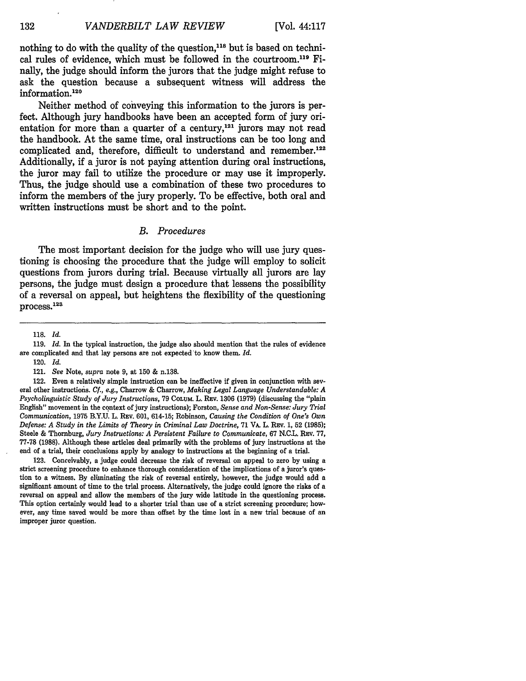nothing to do with the quality of the question,<sup>118</sup> but is based on technical rules of evidence, which must be followed in the courtroom.<sup>119</sup> Finally, the judge should inform the jurors that the judge might refuse to ask the question because a subsequent witness will address the information.<sup>120</sup>

Neither method of conveying this information to the jurors is perfect. Although jury handbooks have been an accepted form of jury orientation for more than a quarter of a century,<sup>121</sup> jurors may not read the handbook. At the same time, oral instructions can be too long and complicated and, therefore, difficult to understand and remember.<sup>122</sup> Additionally, if a juror is not paying attention during oral instructions, the juror may fail to utilize the procedure or may use it improperly. Thus, the judge should use a combination of these two procedures to inform the members of the jury properly. To be effective, both oral and written instructions must be short and to the point.

#### *B. Procedures*

The most important decision for the judge who will use jury questioning is choosing the procedure that the judge will employ to solicit questions from jurors during trial. Because virtually all jurors are lay persons, the judge must design a procedure that lessens the possibility of a reversal on appeal, but heightens the flexibility of the questioning process.<sup>123</sup>

120. *Id.*

123. Conceivably, a judge could decrease the risk of reversal on appeal to zero by using a strict screening procedure to enhance thorough consideration of the implications of a juror's question to a witness. By eliminating the risk of reversal entirely, however, the judge would add a significant amount of time to the trial process. Alternatively, the judge could ignore the risks of a reversal on appeal and allow the members of the jury wide latitude in the questioning process. This option certainly would lead to a shorter trial than use of a strict screening procedure; however, any time saved would be more than offset by the time lost in a new trial because of an improper juror question.

**<sup>118.</sup>** *Id.*

<sup>119.</sup> *Id.* In the typical instruction, the judge also should mention that the rules of evidence are complicated and that lay persons are not expected'to know them. *Id.*

<sup>121.</sup> *See* Note, *supra* note 9, at 150 & n.138.

<sup>122.</sup> Even a relatively simple instruction can be ineffective if given in conjunction with several other instructiois. *Cf., e.g.,* Charrow & Charrow, *Making Legal Language Understandable: A Psycholinguistic Study of Jury Instructions,* 79 **COLUM** L. REv. **1306** (1979) (discussing the "plain English" movement in the context of jury instructions); Forston, *Sense and Non-Sense: Jury Trial Communication,* 1975 B.Y.U. L. REv. 601, 614-15; Robinson, *Causing the Condition of One's Own Defense: A Study in the Limits of Theory in Criminal Law Doctrine,* 71 VA. L. REV. 1, 52 (1985); Steele & Thornburg, *Jury Instructions: A Persistent Failure to Communicate,* 67 N.C.L. REv. 77, 77-78 (1988). Although these articles deal primarily with the problems of jury instructions at the end of a trial, their conclusions apply by analogy to instructions at the beginning of a trial.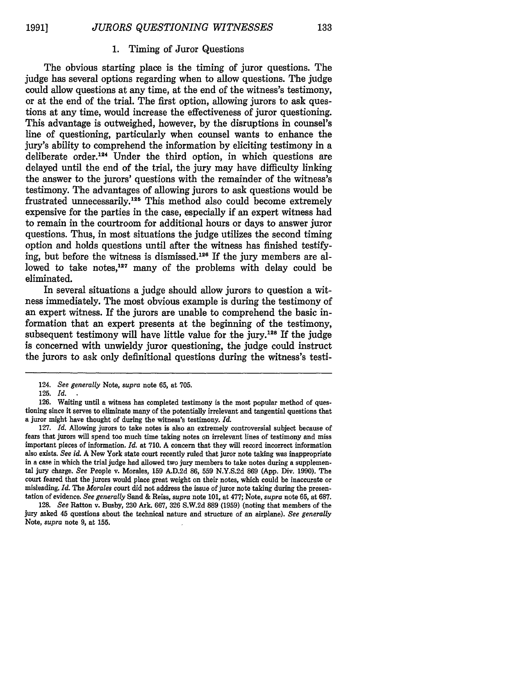**1991]**

#### **1.** Timing of Juror Questions

The obvious starting place is the timing of juror questions. The judge has several options regarding when to allow questions. The judge could allow questions at any time, at the end of the witness's testimony, or at the end of the trial. The first option, allowing jurors to ask questions at any time, would increase the effectiveness of juror questioning. This advantage is outweighed, however, by the disruptions in counsel's line of questioning, particularly when counsel wants to enhance the jury's ability to comprehend the information by eliciting testimony in a deliberate order.<sup>124</sup> Under the third option, in which questions are delayed until the end of the trial, the jury may have difficulty linking the answer to the jurors' questions with the remainder of the witness's testimony. The advantages of allowing jurors to ask questions would be frustrated unnecessarily.<sup>125</sup> This method also could become extremely expensive for the parties in the case, especially if an expert witness had to remain in the courtroom for additional hours or days to answer juror questions. Thus, in most situations the judge utilizes the second timing option and holds questions until after the witness has finished testifying, but before the witness is dismissed.126 If the jury members are allowed to take notes,<sup>127</sup> many of the problems with delay could be eliminated.

In several situations a judge should allow jurors to question a witness immediately. The most obvious example is during the testimony of an expert witness. If the jurors are unable to comprehend the basic information that an expert presents at the beginning of the testimony, subsequent testimony will have little value for the jury.<sup>128</sup> If the judge is concerned with unwieldy juror questioning, the judge could instruct the jurors to ask only definitional questions during the witness's testi-

<sup>124.</sup> *See generally* Note, *supra* note **65,** at 705.

<sup>125.</sup> *Id.*

**<sup>126.</sup>** Waiting until a witness has completed testimony is the most popular method of questioning since it serves to eliminate many of the potentially irrelevant and tangential questions that a juror might have thought of during the witness's testimony. *Id.*

<sup>127.</sup> *Id.* Allowing jurors to take notes is also an extremely controversial subject because of fears that jurors will spend too much time taking notes on irrelevant lines of testimony and miss important pieces of information. *Id.* at 710. A concern that they will record incorrect information also exists. *See id.* A New York state court recently ruled that juror note taking was inappropriate in a case in which the trial judge had allowed two jury members to take notes during a supplemental jury charge. *See* People v. Morales, 159 A.D.2d **86, 559** N.Y.S.2d 869 (App. Div. 1990). The court feared that the jurors would place great weight on their notes, which could be inaccurate or misleading. *Id.* The *Morales* court did not address the issue of juror note taking during the presentation of evidence. *See generally* Sand & Reiss, *supra* note 101, at 477; Note, *supra* note 65, at 687.

<sup>128.</sup> *See* Ratton v. Busby, 230 Ark. 667, **326** S.W.2d 889 (1959) (noting that members of the jury asked 45 questions about the technical nature and structure of an airplane). *See generally* Note, *supra* note 9, at **155.**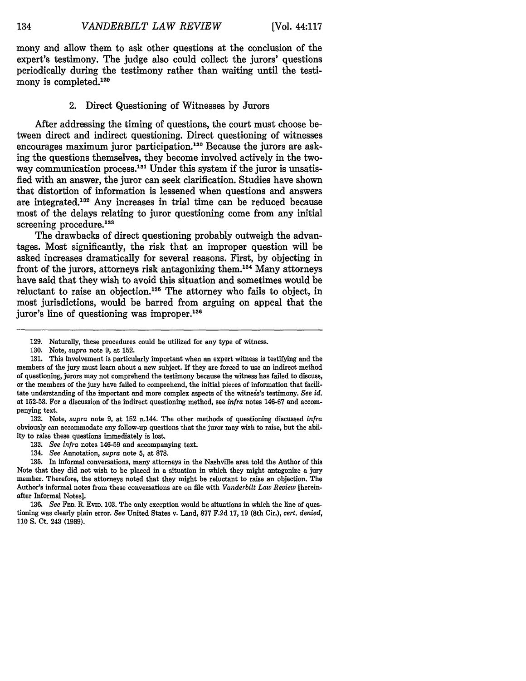134

mony and allow them to ask other questions at the conclusion of the expert's testimony. The judge also could collect the jurors' questions periodically during the testimony rather than waiting until the testimony is completed.<sup>129</sup>

#### 2. Direct Questioning of Witnesses by Jurors

After addressing the timing of questions, the court must choose between direct and indirect questioning. Direct questioning of witnesses encourages maximum juror participation.<sup>130</sup> Because the jurors are asking the questions themselves, they become involved actively in the twoway communication process.<sup>131</sup> Under this system if the juror is unsatisfied with an answer, the juror can seek clarification. Studies have shown that distortion of information is lessened when questions and answers are integrated.<sup>132</sup> Any increases in trial time can be reduced because most of the delays relating to juror questioning come from any initial screening procedure.<sup>133</sup>

The drawbacks of direct questioning probably outweigh the advantages. Most significantly, the risk that an improper question will be asked increases dramatically for several reasons. First, by objecting in front of the jurors, attorneys risk antagonizing them.<sup>134</sup> Many attorneys have said that they wish to avoid this situation and sometimes would be reluctant to raise an objection.<sup>135</sup> The attorney who fails to object, in most jurisdictions, would be barred from arguing on appeal that the juror's line of questioning was improper.<sup>136</sup>

**132.** Note, *supra* note **9,** at **152** n.144. The other methods of questioning discussed *infra* obviously can accommodate any follow-up questions that the juror may wish to raise, but the ability to raise these questions immediately is lost.

- **133.** *See infra* notes 146-59 and accompanying text.
- 134. *See* Annotation, *supra* note **5,** at **878.**

**135.** In informal conversations, many attorneys in the Nashville area told the Author of this Note that they did not wish to be placed in a situation in which they might antagonize a jury member. Therefore, the attorneys noted that they might be reluctant to raise an objection. The Author's informal notes from these conversations are on file with *Vanderbilt Law Review* [hereinafter Informal Notes].

**136.** *See* **FED.** R. EviD. **103.** The only exception would be situations in which the line of questioning was clearly plain error. *See* United States v. Land, **877 F.2d 17, 19** (8th Cir.), *cert. denied,* **110 S.** Ct. 243 **(1989).**

<sup>129.</sup> Naturally, these procedures could be utilized for any type of witness.

<sup>130.</sup> Note, *supra* note 9, at 152.

**<sup>131.</sup>** This involvement is particularly important when an expert witness is testifying and the members of the jury must learn about a new subject. If they are forced to use an indirect method of questioning, jurors may not comprehend the testimony because the witness has failed to discuss, or the members of the jury have failed to comprehend, the initial pieces of information that facilitate understanding of the important and more complex aspects of the witneis's testimony. *See id.* at **152-53.** For a discussion of the indirect questioning method, see *infra* notes **146-67** and accompanying text.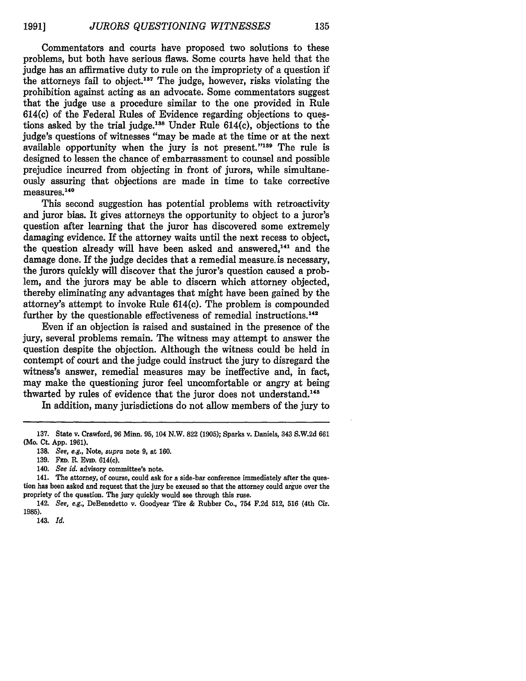Commentators and courts have proposed two solutions to these problems, but both have serious flaws. Some courts have held that the judge has an affirmative duty to rule on the impropriety of a question if the attorneys fail to object. 137 The judge, however, risks violating the prohibition against acting as an advocate. Some commentators suggest that the judge use a procedure similar to the one provided in Rule 614(c) of the Federal Rules of Evidence regarding objections to questions asked by the trial judge.<sup>188</sup> Under Rule  $614(c)$ , objections to the judge's questions of witnesses "may be made at the time or at the next available opportunity when the jury is not present."<sup>139</sup> The rule is designed to lessen the chance of embarrassment to counsel and possible prejudice incurred from objecting in front of jurors, while simultaneously assuring that objections are made in time to take corrective measures.<sup>140</sup>

This second suggestion has potential problems with retroactivity and juror bias. It gives attorneys the opportunity to object to a juror's question after learning that the juror has discovered some extremely damaging evidence. If the attorney waits until the next recess to object, the question already will have been asked and answered.<sup>141</sup> and the damage done. If the judge decides that a remedial measure. is necessary, the jurors quickly will discover that the juror's question caused a problem, and the jurors may be able to discern which attorney objected, thereby eliminating any advantages that might have been gained **by** the attorney's attempt to invoke Rule 614(c). The problem is compounded further by the questionable effectiveness of remedial instructions.<sup>142</sup>

Even if an objection is raised and sustained in the presence of the jury, several problems remain. The witness may attempt to answer the question despite the objection. Although the witness could be held in contempt of court and the judge could instruct the jury to disregard the witness's answer, remedial measures may be ineffective and, in fact, may make the questioning juror feel uncomfortable or angry at being thwarted by rules of evidence that the juror does not understand.<sup>143</sup>

In addition, many jurisdictions do not allow members of the jury to

140. *See id.* advisory committee's note.

**<sup>137.</sup>** State v. Crawford, **96** Minn. **95,** 104 N.W. **822 (1905);** Sparks v. Daniels, 343 **S.W.2d 661** (Mo. Ct. **App. 1961).**

**<sup>138.</sup>** *See, e.g.,* Note, *supra* note **9,** at **160.**

<sup>139.</sup> **FED. R. EVID. 614(c).** 

<sup>141.</sup> The attorney, of course, could ask for a side-bar conference immediately after the question has been asked and request that the jury be excused so that the attorney could argue over the propriety of the question. The jury quickly would see through this ruse.

<sup>142.</sup> *See, e.g.,* DeBenedetto v. Goodyear Tire **&** Rubber Co., 754 **F.2d 512, 516** (4th Cir. **1985).**

<sup>143.</sup> *Id.*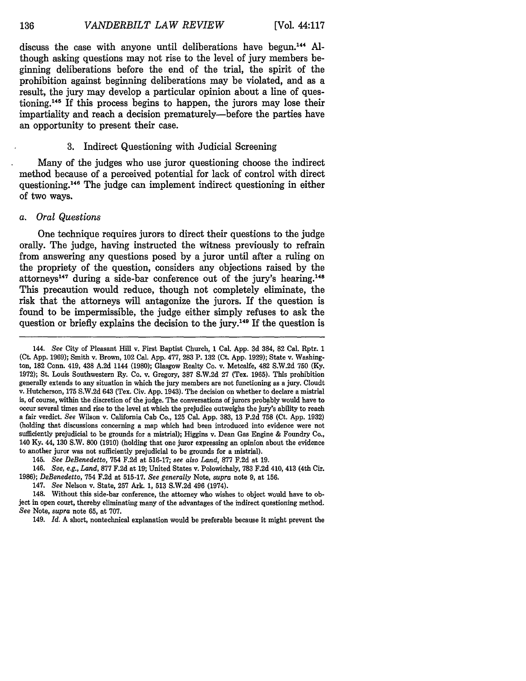discuss the case with anyone until deliberations have begun.14 <sup>4</sup>**Al**though asking questions may not rise to the level of jury members beginning deliberations before the end of the trial, the spirit of the prohibition against beginning deliberations may be violated, and as a result, the jury may develop a particular opinion about a line of questioning.145 If this process begins to happen, the jurors may lose their impartiality and reach a decision prematurely-before the parties have an opportunity to present their case.

#### **3.** Indirect Questioning with Judicial Screening

Many of the judges who use juror questioning choose the indirect method because of a perceived potential for lack of control with direct questioning.146 The judge can implement indirect questioning in either of two ways.

#### *a. Oral Questions*

One technique requires jurors to direct their questions to the judge orally. The judge, having instructed the witness previously to refrain from answering any questions posed **by** a juror until after a ruling on the propriety of the question, considers any objections raised **by** the attorneys<sup>147</sup> during a side-bar conference out of the jury's hearing.<sup>148</sup> This precaution would reduce, though not completely eliminate, the risk that the attorneys will antagonize the jurors. If the question is found to be impermissible, the judge either simply refuses to ask the question or briefly explains the decision to the **jury. <sup>49</sup>**If the question is

146. *See, e.g., Land,* **877 F.2d** at **19;** United States v. Polowichaly, **783 F.2d** 410, 413 (4th Cir. **1986);** *DeBenedetto,* 754 **F.2d** at **515-17.** *See generally* Note, *supra* note **9,** at **156.**

148. Without this side-bar conference, the attorney who wishes to object would have to object in open court, thereby eliminating many of the advantages of the indirect questioning method. *See* Note, *supra* note **65,** at **707.**

149. *Id.* **A** short, nontechnical explanation would be preferable because it might prevent the

<sup>144.</sup> *See* City of Pleasant Hill v. First Baptist Church, **1** Cal. **App. 3d** 384, **82** Cal. Rptr. **1** (Ct. **App. 1969);** Smith v. Brown, 102 Cal. **App. 477, 283** P. **132** (Ct. **App. 1929);** State v. Washington, **182** Conn. 419, 438 **A.2d** 1144 **(1980);** Glasgow Realty Co. v. Metcalfe, 482 S.W.2d **750 (Ky. 1972);** St. Louis Southwestern Ry. Co. v. Gregory, **387 S.W.2d 27** (Tex. **1965).** This prohibition generally extends to any situation in which the jury members are not functioning as a jury. Cloudt v. Hutcherson, **175 S.W.2d** 643 (Tex. Civ. **App.** 1943). The decision on whether to declare a mistrial is, of course, within the discretion of the judge. The conversations of jurors probably would have to occur several times and rise to the level at which the prejudice outweighs the jury's ability to reach a fair verdict. *See* Wilson v. California Cab Co., **125** Cal. **App. 383, 13 P.2d 758** (Ct. **App. 1932)** (holding that discussions concerning a map which had been introduced into evidence were not sufficiently prejudicial to be grounds for a mistrial); Higgins v. Dean Gas Engine **&** Foundry Co., 140 **Ky.** 44, **130** S.W. **800 (1910)** (holding that one juror expressing an opinion about the evidence to another juror was not sufficiently prejudicial to be grounds for a mistrial).

<sup>145.</sup> *See DeBenedetto,* 754 **F.2d** at **516-17;** *see also Land,* **877 F.2d** at **19.**

<sup>147.</sup> *See* Nelson v. State, **257** Ark. **1, 513 S.W.2d** 496 (1974).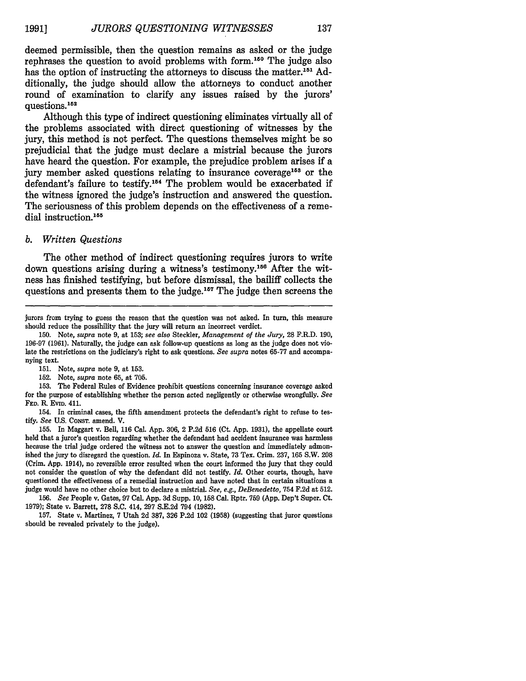deemed permissible, then the question remains as asked or the judge rephrases the question to avoid problems with form. 150 The judge also has the option of instructing the attorneys to discuss the matter.'51 **Ad**ditionally, the judge should allow the attorneys to conduct another round of examination to clarify any issues raised **by** the jurors' questions.<sup>152</sup>

Although this type of indirect questioning eliminates virtually all of the problems associated with direct questioning of witnesses **by** the jury, this method is not perfect. The questions themselves might be so prejudicial that the judge must declare a mistrial because the jurors have heard the question. For example, the prejudice problem arises if a jury member asked questions relating to insurance coverage<sup>153</sup> or the defendant's failure to testify.<sup>154</sup> The problem would be exacerbated if the witness ignored the judge's instruction and answered the question. The seriousness of this problem depends on the effectiveness of a remedial instruction.<sup>155</sup>

#### *b. Written Questions*

The other method of indirect questioning requires jurors to write down questions arising during a witness's testimony.<sup>156</sup> After the witness has finished testifying, but before dismissal, the bailiff collects the questions and presents them to the judge.<sup>157</sup> The judge then screens the

153. The Federal Rules of Evidence prohibit questions concerning insurance coverage asked for the purpose of establishing whether the person acted negligently or otherwise wrongfully. *See* **FED.** R. **EVID.** 411.

154. In criminal cases, the fifth amendment protects the defendant's right to refuse to testify. *See* U.S. **CONST.** amend. V.

155. In Maggart v. Bell, 116 Cal. App. 306, 2 P.2d 516 (Ct. App. 1931), the appellate court held that a juror's question regarding whether the defendant had accident insurance was harmless because the trial judge ordered the witness not to answer the question and immediately admonished the jury to disregard the question. *Id.* In Espinoza v. State, 73 Tex. Crim. 237, 165 S.W. 208 (Crim. App. 1914), no reversible error resulted when the court informed the jury that they could not consider the question of why the defendant did not testify. *Id.* Other courts, though, have questioned the effectiveness of a remedial instruction and have noted that in certain situations a judge would have no other choice but to declare a mistrial. *See, e.g., DeBenedetto,* 754 F.2d at 512.

156. *See* People v. Gates, 97 Cal. App. 3d Supp. 10, 158 Cal. Rptr. 759 (App. Dep't Super. Ct. 1979); State v. Barrett, 278 S.C. 414, 297 S.E.2d 794 (1982).

**157.** State v. Martinez, **7** Utah 2d **387, 326 P.2d** 102 **(1958)** (suggesting that juror questions should be revealed privately to the judge).

jurors from trying to guess the reason that the question was not asked. In turn, this measure should reduce the possibility that the jury will return an incorrect verdict.

<sup>150.</sup> Note, *supra* note 9, at 153; *see also* Steckler, *Management of the Jury,* 28 F.R.D. 190, 196-97 (1961). Naturally, the judge can ask follow-up questions as long as the judge does not violate the restrictions on the judiciary's right to ask questions. *See supra* notes 65-77 and accompanying text.

**<sup>151.</sup>** Note, *supra* note 9, at 153.

<sup>152.</sup> Note, *supra* note 65, at 705.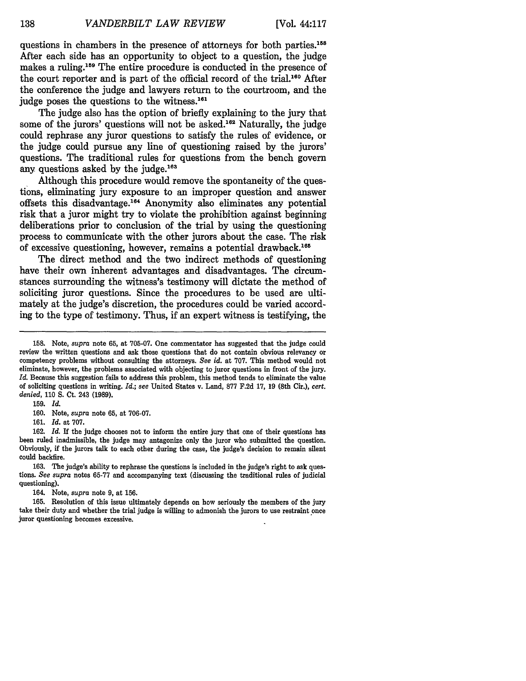questions in chambers in the presence of attorneys for both parties.158 After each side has an opportunity to object to a question, the judge makes a ruling.<sup>159</sup> The entire procedure is conducted in the presence of the court reporter and is part of the official record of the trial.160 After the conference the judge and lawyers return to the courtroom, and the judge poses the questions to the witness.<sup>161</sup>

The judge also has the option of briefly explaining to the jury that some of the jurors' questions will not be asked.<sup>162</sup> Naturally, the judge could rephrase any juror questions to satisfy the rules of evidence, or the judge could pursue any line of questioning raised by the jurors' questions. The traditional rules for questions from the bench govern any questions asked by the judge.<sup>163</sup>

Although this procedure would remove the spontaneity of the questions, eliminating jury exposure to an improper question and answer offsets this disadvantage.<sup>164</sup> Anonymity also eliminates any potential risk that a juror might try to violate the prohibition against beginning deliberations prior to conclusion of the trial by using the questioning process to communicate with the other jurors about the case. The risk of excessive questioning, however, remains a potential drawback.<sup>165</sup>

The direct method and the two indirect methods of questioning have their own inherent advantages and disadvantages. The circumstances surrounding the witness's testimony will dictate the method of soliciting juror questions. Since the procedures to be used are ultimately at the judge's discretion, the procedures could be varied according to the type of testimony. Thus, if an expert witness is testifying, the

**<sup>158.</sup>** Note, *supra* note **65,** at **705-07.** One commentator has suggested that the judge could review the written questions and ask those questions that do not contain obvious relevancy or competency problems without consulting the attorneys. *See id.* at 707. This method would not eliminate, however, the problems associated with objecting to juror questions in front of the jury. *Id.* Because this suggestion fails to address this problem, this method tends to eliminate the value of soliciting questions in writing. *Id.; see* United States v. Land, 877 F.2d 17, 19 (8th Cir.), *cert. denied,* 110 **S.** Ct. 243 (1989).

<sup>159.</sup> *Id.* 160. Note, *supra* note 65, at 706-07.

<sup>161.</sup> *Id.* at 707.

**<sup>162.</sup>** *Id.* If the judge chooses not to inform the entire jury that one of their questions has been ruled inadmissible, the judge may antagonize only the juror who submitted the question. Obviously, if the jurors talk to each other during the case, the judge's decision to remain silent could backfire.

<sup>163.</sup> The judge's ability to rephrase the questions is included in the judge's right to ask questions. *See supra* notes 65-77 and accompanying text (discussing the traditional rules of judicial questioning).

<sup>164.</sup> Note, *supra* note 9, at 156.

<sup>165.</sup> Resolution of this issue ultimately depends on how seriously the members of the jury take their duty and whether the trial judge is willing to admonish the jurors to use restraint once juror questioning becomes excessive.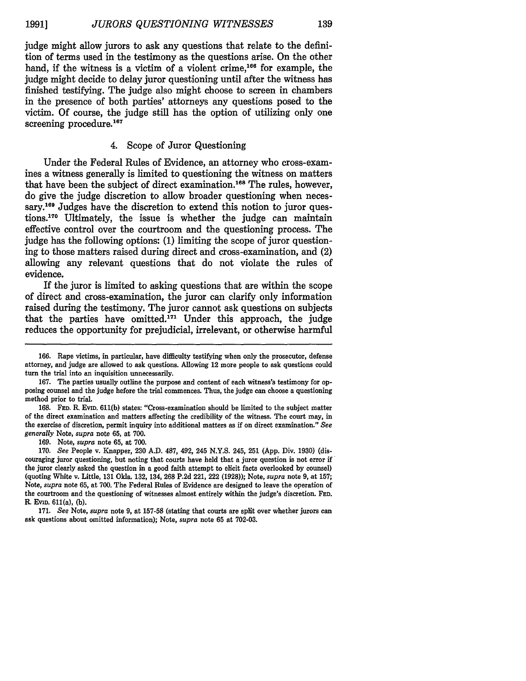judge might allow jurors to ask any questions that relate to the definition of terms used in the testimony as the questions arise. On the other hand, if the witness is a victim of a violent crime,<sup>166</sup> for example, the judge might decide to delay juror questioning until after the witness has finished testifying. The judge also might choose to screen in chambers in the presence of both parties' attorneys any questions posed to the victim. Of course, the judge still has the option of utilizing only one screening procedure.<sup>167</sup>

#### 4. Scope of Juror Questioning

Under the Federal Rules of Evidence, an attorney who cross-examines a witness generally is limited to questioning the witness on matters that have been the subject of direct examination.<sup>168</sup> The rules, however, do give the judge discretion to allow broader questioning when necessary.<sup>169</sup> Judges have the discretion to extend this notion to juror ques**tions.1 <sup>70</sup>**Ultimately, the issue is whether the judge can maintain effective control over the courtroom and the questioning process. The judge has the following options: (1) limiting the scope of juror questioning to those matters raised during direct and cross-examination, and (2) allowing any relevant questions that do not violate the rules of evidence.

If the juror is limited to asking questions that are within the scope of direct and cross-examination, the juror can clarify only information raised during the testimony. The juror cannot ask questions on subjects that the parties have omitted.<sup>171</sup> Under this approach, the judge reduces the opportunity for prejudicial, irrelevant, or otherwise harmful

**169.** Note, *supra* note **65,** at **700.**

**<sup>166.</sup>** Rape victims, in particular, have difficulty testifying when only the prosecutor, defense attorney, and judge are allowed to ask questions. Allowing 12 more people to ask questions could turn the trial into an inquisition unnecessarily.

**<sup>167.</sup>** The parties usually outline the purpose and content of each witness's testimony for opposing counsel and the judge before the trial commences. Thus, the judge can choose a questioning method prior to trial.

**<sup>168.</sup> FED.** R. Evm. **611(b)** states: "Cross-examination should be limited to the subject matter of the direct examination and matters affecting the credibility of the witness. The court may, in the exercise of discretion, permit inquiry into additional matters as **if** on direct examination." *See generally* Note, *supra* note **65,** at **700.**

**<sup>170.</sup>** *See* People v. Knapper, **230 A.D. 487,** 492, 245 **N.Y.S.** 245, **251 (App.** Div. **1930)** (discouraging juror questioning, but noting that courts have held that a juror question is not error **if** the juror clearly asked the question in a good faith attempt to elicit facts overlooked **by** counsel) (quoting White v. Little, **131** Okla. **132,** 134, **268 P.2d** 221, 222 **(1928));** Note, *supra* note **9,** at **157;** Note, *supra* note **65,** at **700.** The Federal Rules of Evidence are designed to leave the operation of the courtroom and the questioning of witnesses almost entirely within the judge's discretion. FED. R. **EvID.** 611(a), **(b).**

**<sup>171.</sup>** *See* Note, *supra* note **9,** at **157-58** (stating that courts are split over whether jurors can ask questions about omitted information); Note, *supra* note **65** at **702-03.**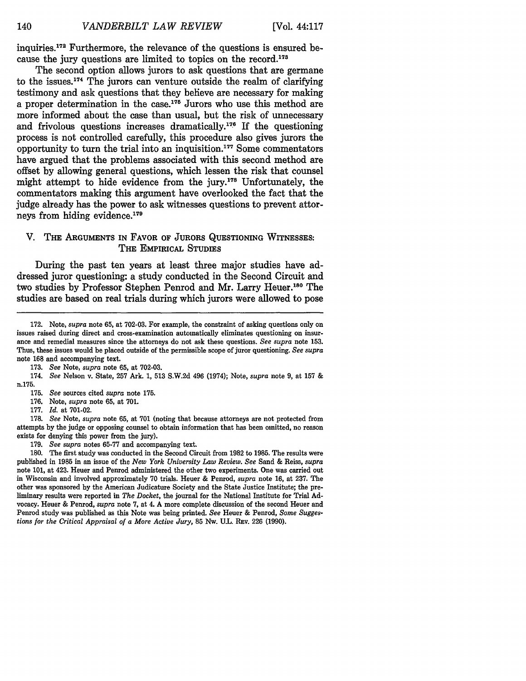140

inquiries. 172 Furthermore, the relevance of the questions is ensured because the jury questions are limited to topics on the record.<sup>173</sup>

The second option allows jurors to ask questions that are germane to the issues. <sup>17</sup> 4 The jurors can venture outside the **realm** of clarifying testimony and ask questions that they believe are necessary for making a proper determination in the case.175 Jurors who use this method are more informed about the case than usual, but the risk of unnecessary and frivolous questions increases dramatically.<sup>176</sup> If the questioning process is not controlled carefully, this procedure also gives jurors the opportunity to turn the trial into an inquisition.17 7 Some commentators have argued that the problems associated with this second method are offset **by** allowing general questions, which lessen the risk that counsel might attempt to hide evidence from the jury.178 Unfortunately, the commentators making this argument have overlooked the fact that the judge already has the power to ask witnesses questions to prevent attorneys from hiding evidence.<sup>179</sup>

#### V. THE **ARGUMENTS IN** FAVOR OF **JURORS QUESTIONING** WITNESSES: THE EMPIRICAL STUDIES

During the past ten years at least three major studies have addressed juror questioning: a study conducted in the Second Circuit and two studies by Professor Stephen Penrod and Mr. Larry Heuer.<sup>180</sup> The studies are based on real trials during which jurors were allowed to pose

177. *Id.* at 701-02.

178. *See* Note, *supra* note 65, at **701** (noting that because attorneys are not protected from attempts by the judge or opposing counsel to obtain information that has been omitted, no reason exists for denying this power from the jury).

179. *See supra* notes 65-77 and accompanying text.

180. The first study was conducted in the Second Circuit from 1982 to 1985. The results were published in 1985 in an issue of the *New York University Law Review. See* Sand & Reiss, *supra* note **101,** at 423. Heuer and Penrod administered the other two experiments. One was carried out in Wisconsin and involved approximately 70 trials. Heuer & Penrod, *supra* note 16, at 237. The other was sponsored by the American Judicature Society and the State Justice Institute; the preliminary results were reported in *The Docket,* the journal for the National Institute for Trial Advocacy. Heuer & Penrod, *supra* note 7, at 4. A more complete discussion of the second Heuer and Penrod study was published as this Note was being printed. *See* Heuer & Penrod, *Some Suggestions for the Critical Appraisal of a More Active Jury,* 85 Nw. U.L. REv. 226 (1990).

**<sup>172.</sup>** Note, *supra* note **65,** at **702-03.** For example, the constraint of asking questions only on issues raised during direct and cross-examination automatically eliminates questioning on insurance and remedial measures since the attorneys do not ask these questions. *See supra* note 153. Thus, these issues would be placed outside of the permissible scope of juror questioning. *See supra* note 168 and accompanying text.

<sup>173.</sup> *See* Note, *supra* note 65, at 702-03.

<sup>174.</sup> *See* Nelson v. State, 257 Ark. 1, 513 S.W.2d 496 (1974); Note, *supra* note 9, at 157 & n.175.

<sup>175.</sup> *See* sources cited *supra* note 175.

<sup>176.</sup> Note, *supra* note 65, at 701.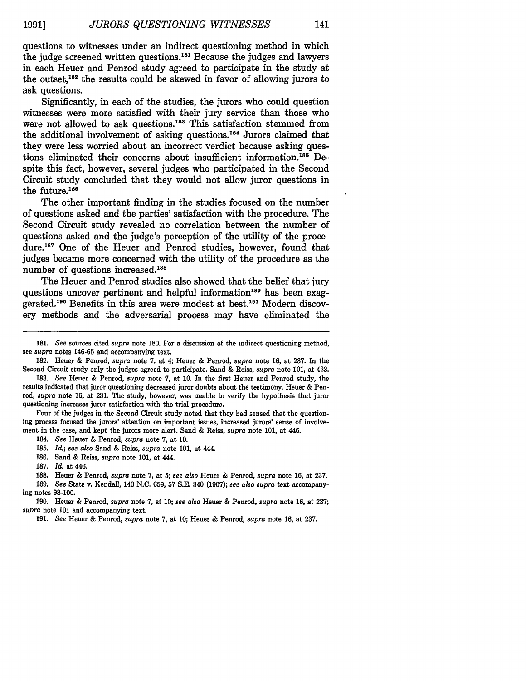questions to witnesses under an indirect questioning method in which the judge screened written questions. 181 Because the judges and lawyers in each Heuer and Penrod study agreed to participate in the study at the outset,<sup>182</sup> the results could be skewed in favor of allowing jurors to ask questions.

Significantly, in each of the studies, the jurors who could question witnesses were more satisfied with their jury service than those who were not allowed to ask questions.<sup>183</sup> This satisfaction stemmed from the additional involvement of asking questions.184 Jurors claimed that they were less worried about an incorrect verdict because asking questions eliminated their concerns about insufficient information.185 Despite this fact, however, several judges who participated in the Second Circuit study concluded that they would not allow juror questions in the future. $186$ 

The other important finding in the studies focused on the number of questions asked and the parties' satisfaction with the procedure. The Second Circuit study revealed no correlation between the number of questions asked and the judge's perception of the utility of the procedure.<sup>187</sup> One of the Heuer and Penrod studies, however, found that judges became more concerned with the utility of the procedure as the number of questions increased.<sup>188</sup>

The Heuer and Penrod studies also showed that the belief that jury questions uncover pertinent and helpful information<sup>189</sup> has been exaggerated.<sup>190</sup> Benefits in this area were modest at best.<sup>191</sup> Modern discovery methods and the adversarial process may have eliminated the

Four of the judges in the Second Circuit study noted that they had sensed that the questioning process focused the jurors' attention on important issues, increased jurors' sense of involvement in the case, and kept the jurors more alert. Sand **&** Reiss, *supra* note **101,** at 446.

184. *See* Heuer **&** Penrod, *supra* note **7,** at **10.**

**185.** *Id.; see also* Sand **&** Reiss, *supra* note **101,** at 444.

**186.** Sand **&** Reiss, *supra* note **101,** at 444.

**188.** Heuer **&** Penrod, *supra* note **7,** at **5;** *see also* Heuer **&** Penrod, *supra* note **16,** at **237.**

**189.** *See* State v. Kendall, 143 **N.C. 659, 57 S.E.** 340 **(1907);** *see also supra* text accompanying notes **98-100.**

**190.** Heuer **&** Penrod, *supra* note **7,** at **10;** *see also* Heuer **&** Penrod, *supra* note **16,** at **237;** *supra* note **101** and accompanying text.

**<sup>181.</sup>** *See* sources cited *supra* note **180.** For a discussion of the indirect questioning method, see *supra* notes **146-65** and accompanying text.

**<sup>182.</sup>** Heuer **&** Penrod, *supra* note **7,** at 4; Heuer **&** Penrod, *supra* note **16,** at **237.** In the Second Circuit study only the judges agreed to participate. Sand **&** Reiss, *supra* note **101,** at 423.

**<sup>183.</sup>** *See* Heuer **&** Penrod, *supra* note **7,** at **10.** In the first Heuer and Penrod study, the results indicated that juror questioning decreased juror doubts about the testimony. Heuer **&** Penrod, *supra* note **16,** at **231.** The study, however, was unable to verify the hypothesis that juror questioning increases juror satisfaction with the trial procedure.

**<sup>187.</sup>** *Id.* at 446.

**<sup>191.</sup>** *See* Heuer **&** Penrod, *supra* note **7,** at **10;** Heuer **&** Penrod, *supra* note **16,** at **237.**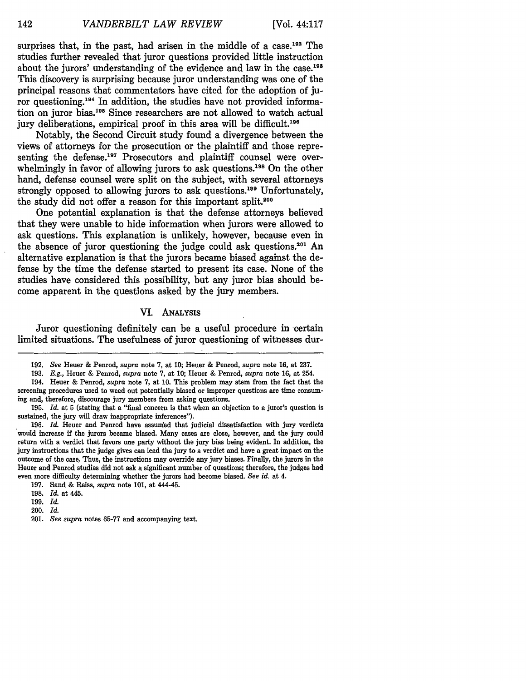surprises that, in the past, had arisen in the middle of a case.<sup>192</sup> The studies further revealed that juror questions provided little instruction about the jurors' understanding of the evidence and law in the case.<sup>193</sup> This discovery is surprising because juror understanding was one of the principal reasons that commentators have cited for the adoption of juror questioning.<sup>194</sup> In addition, the studies have not provided information on juror bias.195 Since researchers are not allowed to watch actual jury deliberations, empirical proof in this area will be difficult.<sup>196</sup>

Notably, the Second Circuit study found a divergence between the views of attorneys for the prosecution or the plaintiff and those representing the defense.<sup>197</sup> Prosecutors and plaintiff counsel were overwhelmingly in favor of allowing jurors to ask questions.<sup>198</sup> On the other hand, defense counsel were split on the subject, with several attorneys strongly opposed to allowing jurors to ask questions.<sup>199</sup> Unfortunately, the study did not offer a reason for this important split.<sup>200</sup>

One potential explanation is that the defense attorneys believed that they were unable to hide information when jurors were allowed to ask questions. This explanation is unlikely, however, because even in the absence of juror questioning the judge could ask questions.<sup>201</sup> An alternative explanation is that the jurors became biased against the defense by the time the defense started to present its case. None of the studies have considered this possibility, but any juror bias should become apparent in the questions asked by the jury members.

#### VI. ANALYsIs

Juror questioning definitely can be a useful procedure in certain limited situations. The usefulness of juror questioning of witnesses dur-

200. *Id.*

**<sup>192.</sup>** *See* Heuer **&** Penrod, *supra* note **7,** at **10;** Heuer **&** Penrod, *supra* note **16,** at **237.**

**<sup>193.</sup>** *E.g.,* Heuer & Penrod, *supra* note **7,** at **10;** Heuer **&** Penrod, *supra* note **16,** at 254.

<sup>194.</sup> Heuer **&** Penrod, *supra* note **7,** at **10.** This problem may stem from the fact that the screening procedures used to weed out potentially biased or improper questions are time consuming and, therefore, discourage jury members from asking questions.

**<sup>195.</sup>** *Id.* at **5** (stating that a "final concern is that when an objection to a juror's question is sustained, the jury will draw inappropriate inferences").

<sup>196.</sup> *Id.* Heuer and Penrod have assumed that judicial dissatisfaction with jury verdicts would increase if the jurors became biased. Many cases are close, however, and the jury could return with a verdict that favors one party without the jury bias being evident. In addition, the jury instructions that the judge gives can lead the jury to a verdict and have a great impact on the outcome of the case. Thus, the instructions may override any jury biases. Finally, the jurors in the Heuer and Penrod studies did not ask a significant number of questions; therefore, the judges had even more difficulty determining whether the jurors had become biased. *See id.* at 4.

**<sup>197.</sup>** Sand **&** Reiss, *supra* note **101,** at 444-45.

**<sup>198.</sup>** *Id.* at 445.

**<sup>199.</sup>** *Id.*

<sup>201.</sup> *See supra* notes 65-77 and accompanying text.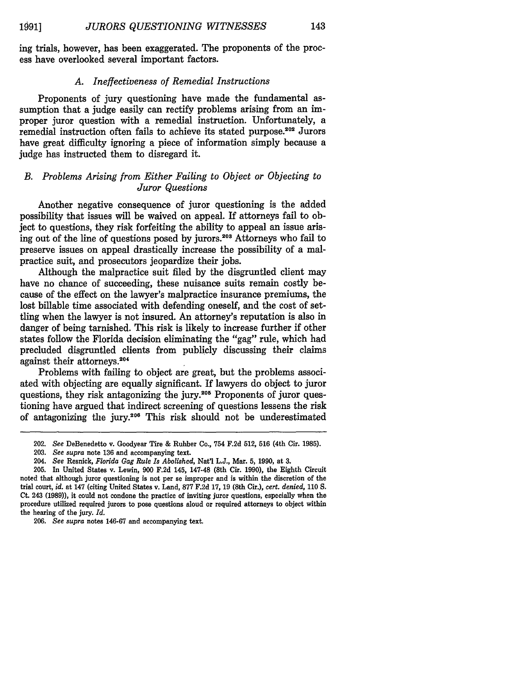ing trials, however, has been exaggerated. The proponents of the process have overlooked several important factors.

#### *A. Ineffectiveness of Remedial Instructions*

Proponents of jury questioning have made the fundamental assumption that a judge easily can rectify problems arising from an improper juror question with a remedial instruction. Unfortunately, a remedial instruction often fails to achieve its stated purpose.<sup>202</sup> Jurors have great difficulty ignoring a piece of information simply because a judge has instructed them to disregard it.

#### *B. Problems Arising from Either Failing to Object or Objecting to Juror Questions*

Another negative consequence of juror questioning is the added possibility that issues will be waived on appeal. If attorneys fall to object to questions, they risk forfeiting the ability to appeal an issue arising out of the line of questions posed by jurors.<sup>203</sup> Attorneys who fail to preserve issues on appeal drastically increase the possibility of a malpractice suit, and prosecutors jeopardize their jobs.

Although the malpractice suit filed by the disgruntled client may have no chance of succeeding, these nuisance suits remain costly because of the effect on the lawyer's malpractice insurance premiums, the lost billable time associated with defending oneself, and the cost of settling when the lawyer is not insured. An attorney's reputation is also in danger of being tarnished. This risk is likely to increase further if other states follow the Florida decision eliminating the "gag" rule, which had precluded disgruntled clients from publicly discussing their claims against their attorneys.<sup>204</sup>

Problems with failing to object are great, but the problems associated with objecting are equally significant. If lawyers do object to juror questions, they risk antagonizing the jury.<sup>205</sup> Proponents of juror questioning have argued that indirect screening of questions lessens the risk of antagonizing the jury.<sup>206</sup> This risk should not be underestimated

<sup>202.</sup> *See* DeBenedetto v. Goodyear Tire & Rubber Co., 754 F.2d 512, **516** (4th Cir. 1985).

<sup>203.</sup> *See supra* note **136** and accompanying text.

<sup>204.</sup> *See* Resnick, *Florida Gag Rule Is Abolished,* Nat'l L.J., Mar. **5,** 1990, at 3.

<sup>205.</sup> In United States v. Lewin, 900 F.2d 145, 147-48 (8th Cir. 1990), the Eighth Circuit noted that although juror questioning is not per se improper and is within the discretion of the trial court, *id.* at 147 (citing United States v. Land, **877** F.2d 17, 19 (8th Cir.), *cert. denied,* 110 S. Ct. 243 (1989)), it could not condone the practice of inviting juror questions, especially when the procedure utilized required jurors to pose questions aloud or required attorneys to object within the hearing of the jury. *Id.*

<sup>206.</sup> *See supra* notes 146-67 and accompanying text.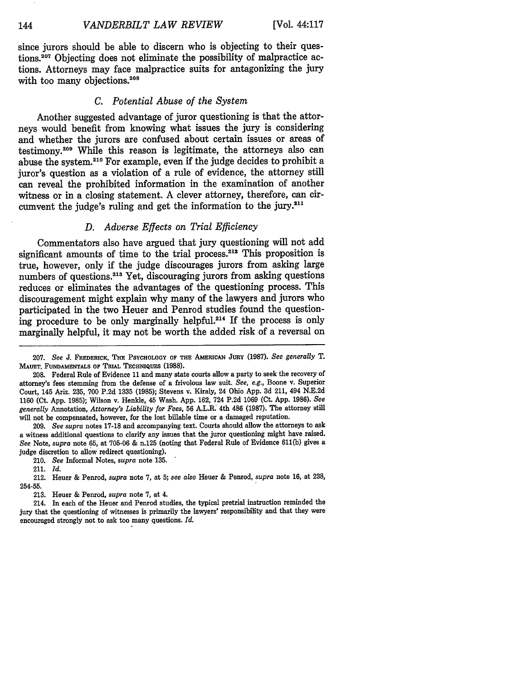since jurors should be able to discern who is objecting to their questions.<sup>207</sup> Objecting does not eliminate the possibility of malpractice actions. Attorneys may face malpractice suits for antagonizing the jury with too many objections.<sup>208</sup>

#### *C. Potential Abuse of the System*

Another suggested advantage of juror questioning is that the attorneys would benefit from knowing what issues the jury is considering and whether the jurors are confused about certain issues or areas of testimony.<sup>209</sup> While this reason is legitimate, the attorneys also can abuse the system.210 For example, even if the judge decides to prohibit a juror's question as a violation of a rule of evidence, the attorney still can reveal the prohibited information in the examination of another witness or in a closing statement. A clever attorney, therefore, can circumvent the judge's ruling and get the information to the jury.<sup>211</sup>

#### *D. Adverse Effects on Trial Efficiency*

Commentators also have argued that jury questioning will not add significant amounts of time to the trial process.<sup>212</sup> This proposition is true, however, only if the judge discourages jurors from asking large numbers of questions.<sup>213</sup> Yet, discouraging jurors from asking questions reduces or eliminates the advantages of the questioning process. This discouragement might explain why many of the lawyers and jurors who participated in the two Heuer and Penrod studies found the questioning procedure to be only marginally helpful.<sup>214</sup> If the process is only marginally helpful, it may not be worth the added risk of a reversal on

209. *See supra* notes 17-18 and accompanying text. Courts should allow the attorneys to ask a witness additional questions to clarify any issues that the juror questioning might have raised. *See* Note, *supra* note 65, at 705-06 & n.125 (noting that Federal Rule of Evidence 611(b) gives a judge discretion to allow redirect questioning).

210. *See* Informal Notes, *supra* note 135.

211. *Id.*

212. Heuer & Penrod, *supra* note 7, at 5; *see also* Heuer & Penrod, *supra* note 16, at 238, 254-55.

213. Heuer & Penrod, *supra* note 7, at 4.

214. In each of the Heuer and Penrod studies, the typical pretrial instruction reminded the jury that the questioning of witnesses is primarily the lawyers' responsibility and that they were encouraged strongly not to ask too many questions. *Id.*

**<sup>207.</sup>** *See* **J. FREDERICK, THE PSYCHOLOGY OF THE AMERICAN JURY (1987).** *See generally T.* **MAUET, FUNDAMENTALS OF TRIAL TECHNIQUES (1988).**

**<sup>208.</sup>** Federal Rule of Evidence **11** and many state courts allow a party to seek the recovery of attorney's fees stemming from the defense of a frivolous law suit. *See, e.g.,* Boone v. Superior Court, 145 Ariz. **235, 700 P.2d 1335 (1985);** Stevens v. Kiraly, 24 Ohio **App. 3d** 211, 494 **N.E.2d 1160** (Ct. **App. 1985);** Wilson v. Henkle, 45 Wash. **App. 162,** 724 **P.2d 1069** (Ct. **App. 1986).** *See generally* Annotation, *Attorney's Liability for Fees,* **56** A.L.R. 4th 486 **(1987).** The attorney still will not be compensated, however, for the lost billable time or a damaged reputation.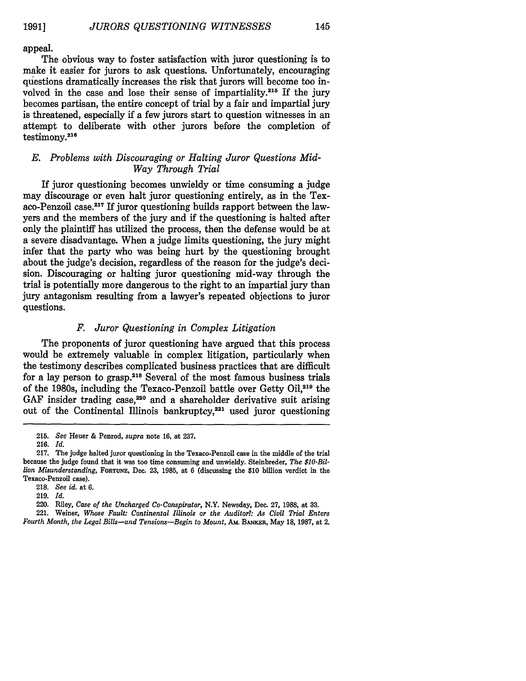appeal.

The obvious way to foster satisfaction with juror questioning is to make it easier for jurors to ask questions. Unfortunately, encouraging questions dramatically increases the risk that jurors will become too involved in the case and lose their sense of impartiality.<sup>215</sup> If the jury becomes partisan, the entire concept of trial **by** a fair and impartial jury is threatened, especially if a few jurors start to question witnesses in an attempt to deliberate with other jurors before the completion of  $testimony.<sup>216</sup>$ 

#### *E. Problems with Discouraging or Halting Juror Questions Mid-Way Through Trial*

If juror questioning becomes unwieldy or time consuming a judge may discourage or even halt juror questioning entirely, as in the Texaco-Penzoil case.<sup>217</sup> If juror questioning builds rapport between the lawyers and the members of the jury and if the questioning is halted after only the plaintiff has utilized the process, then the defense would be at a severe disadvantage. When a judge limits questioning, the jury might infer that the party who was being hurt by the questioning brought about the judge's decision, regardless of the reason for the judge's decision. Discouraging or halting juror questioning mid-way through the trial is potentially more dangerous to the right to an impartial jury than jury antagonism resulting from a lawyer's repeated objections to juror questions.

#### *F. Juror Questioning in Complex Litigation*

The proponents of juror questioning have argued that this process would be extremely valuable in complex litigation, particularly when the testimony describes complicated business practices that are difficult for a lay person to grasp.218 Several of the most famous business trials of the 1980s, including the Texaco-Penzoil battle over Getty Oil,219 the GAF insider trading case,<sup>220</sup> and a shareholder derivative suit arising out of the Continental Illinois bankruptcy, $2^{21}$  used juror questioning

<sup>215.</sup> *See* Heuer & Penrod, *supra* note 16, at 237.

<sup>216.</sup> *Id.*

<sup>217.</sup> The judge halted juror questioning in the Texaco-Penzoil case in the middle of the trial because the judge found that it was too time consuming and unwieldy. Steinbreder, *The \$10-Billion Misunderstanding,* **FORTUNE,** Dec. 23, 1985, at 6 (discussing the \$10 billion verdict in the Texaco-Penzoil case).

**<sup>218.</sup>** *See id.* at **6.**

**<sup>219.</sup>** *Id.*

<sup>220.</sup> Riley, *Case of the Uncharged Co-Conspirator,* N.Y. Newsday, Dec. **27, 1988,** at **33.**

<sup>221.</sup> Weiner, *Whose Fault: Continental Illinois or the Auditor?: As Civil Trial Enters Fourth Month, the Legal Bills-and Tensions-Begin to Mount,* AM. BANKER, May 18, 1987, at 2.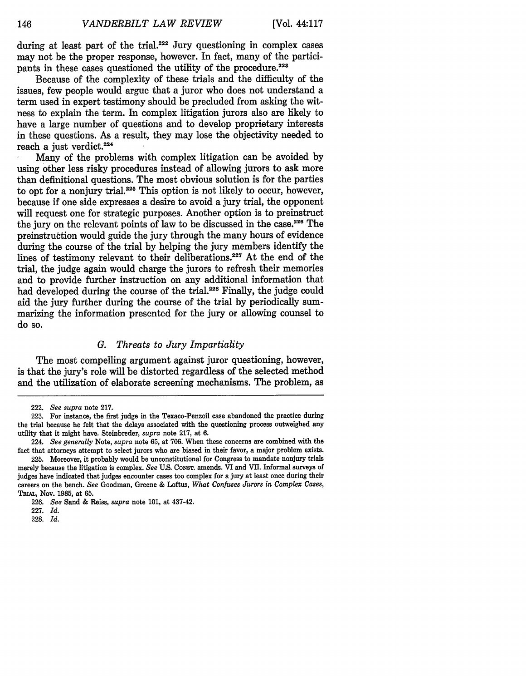during at least part of the trial.<sup>222</sup> Jury questioning in complex cases may not be the proper response, however. In fact, many of the participants in these cases questioned the utility of the procedure.<sup>223</sup>

Because of the complexity of these trials and the difficulty of the issues, few people would argue that a juror who does not understand a term used in expert testimony should be precluded from asking the witness to explain the term. In complex litigation jurors also are likely to have a large number of questions and to develop proprietary interests in these questions. As a result, they may lose the objectivity needed to reach a just verdict.<sup>224</sup>

Many of the problems with complex litigation can be avoided by using other less risky procedures instead of allowing jurors to ask more than definitional questions. The most obvious solution is for the parties to opt for a nonjury trial.<sup>225</sup> This option is not likely to occur, however, because if one side expresses a desire to avoid a jury trial, the opponent will request one for strategic purposes. Another option is to preinstruct the jury on the relevant points of law to be discussed in the case.<sup>226</sup> The preinstruction would guide the jury through the many hours of evidence during the course of the trial by helping the jury members identify the lines of testimony relevant to their deliberations.<sup>227</sup> At the end of the trial, the judge again would charge the jurors to refresh their memories and to provide further instruction on any additional information that had developed during the course of the trial.<sup>228</sup> Finally, the judge could aid the jury further during the course of the trial by periodically summarizing the information presented for the jury or allowing counsel to do so.

#### *G. Threats to Jury Impartiality*

The most compelling argument against juror questioning, however, is that the jury's role will be distorted regardless of the selected method and the utilization of elaborate screening mechanisms. The problem, as

146

**228.** *Id.*

<sup>222.</sup> *See supra* note 217.

**<sup>223.</sup>** For instance, the first judge in the Texaco-Penzoil case abandoned the practice during the trial because he felt that the delays associated with the questioning process outweighed any utility that it might have. Steinbreder, *supra* note **217,** at **6.**

<sup>224.</sup> *See generally* Note, *supra* note **65,** at **706.** When these concerns are combined with the fact that attorneys attempt to select jurors who are biased in their favor, a major problem exists.

**<sup>225.</sup>** Moreover, it probably would be unconstitutional for Congress to mandate nonjury trials merely because the litigation is complex. *See* **U.S.** CONsT. amends. **VI** and **VII.** Informal surveys of judges have indicated that judges encounter cases too complex for a jury at least once during their careers on the bench. *See* Goodman, Greene & Loftus, *What Confuses Jurors in Complex Cases,* **TRIuL,** Nov. **1985,** at **65.**

**<sup>226.</sup>** *See* Sand **&** Reiss, *supra* note **101,** at 437-42.

**<sup>227.</sup>** *Id.*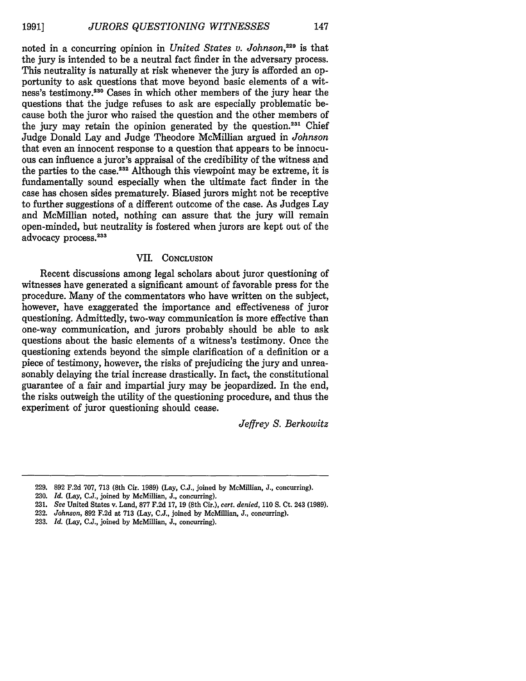noted in a concurring opinion in *United States v. Johnson,229* is that the jury is intended to be a neutral fact finder in the adversary process. This neutrality is naturally at risk whenever the jury is afforded an opportunity to ask questions that move beyond basic elements of a witness's testimony.<sup>230</sup> Cases in which other members of the jury hear the questions that the judge refuses to ask are especially problematic because both the juror who raised the question and the other members of the jury may retain the opinion generated by the question. $231$  Chief Judge Donald Lay and Judge Theodore McMillian argued in *Johnson* that even an innocent response to a question that appears to be innocuous can influence a juror's appraisal of the credibility of the witness and the parties to the case.<sup>232</sup> Although this viewpoint may be extreme, it is fundamentally sound especially when the ultimate fact finder in the case has chosen sides prematurely. Biased jurors might not be receptive to further suggestions of a different outcome of the case. As Judges Lay and McMillian noted, nothing can assure that the jury will remain open-minded, but neutrality is fostered when jurors are kept out of the advocacy process.233

#### VII. **CONCLUSION**

Recent discussions among legal scholars about juror questioning of witnesses have generated a significant amount of favorable press for the procedure. Many of the commentators who have written on the subject, however, have exaggerated the importance and effectiveness of juror questioning. Admittedly, two-way communication is more effective than one-way communication, and jurors probably should be able to ask questions about the basic elements of a witness's testimony. Once the questioning extends beyond the simple clarification of a definition or a piece of testimony, however, the risks of prejudicing the jury and unreasonably delaying the trial increase drastically. In fact, the constitutional guarantee of a fair and impartial jury may be jeopardized. In the end, the risks outweigh the utility of the questioning procedure, and thus the experiment of juror questioning should cease.

*Jeffrey S. Berkowitz*

- 232. *Johnson,* 892 F.2d at 713 (Lay, C.J., joined by McMillian, J., concurring).
- 233. *Id.* (Lay, C.J., joined by McMillian, *J.,* concurring).

<sup>229. 892</sup> F.2d 707, 713 (8th Cir. 1989) (Lay, C.J., joined by McMillian, J., concurring).

<sup>230.</sup> *Id.* (Lay, **C.J.,** joined by McMillian, **J.,** concurring).

<sup>231.</sup> *See* United States v. Land, 877 F.2d 17, 19 (8th Cir.), *cert. denied,* 110 S. Ct. 243 (1989).